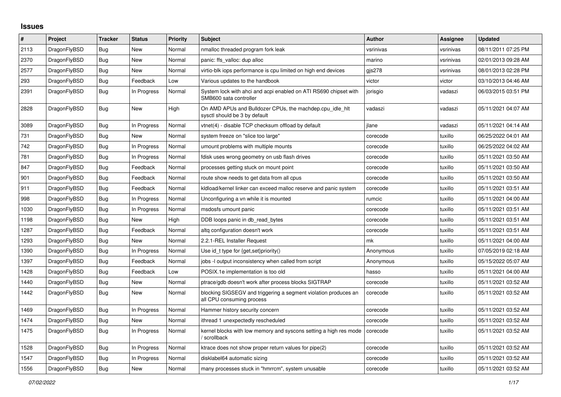## **Issues**

| $\vert$ # | Project      | Tracker    | <b>Status</b> | <b>Priority</b> | <b>Subject</b>                                                                               | <b>Author</b> | Assignee  | <b>Updated</b>      |
|-----------|--------------|------------|---------------|-----------------|----------------------------------------------------------------------------------------------|---------------|-----------|---------------------|
| 2113      | DragonFlyBSD | Bug        | New           | Normal          | nmalloc threaded program fork leak                                                           | vsrinivas     | vsrinivas | 08/11/2011 07:25 PM |
| 2370      | DragonFlyBSD | Bug        | <b>New</b>    | Normal          | panic: ffs valloc: dup alloc                                                                 | marino        | vsrinivas | 02/01/2013 09:28 AM |
| 2577      | DragonFlyBSD | <b>Bug</b> | New           | Normal          | virtio-blk iops performance is cpu limited on high end devices                               | gis278        | vsrinivas | 08/01/2013 02:28 PM |
| 293       | DragonFlyBSD | Bug        | Feedback      | Low             | Various updates to the handbook                                                              | victor        | victor    | 03/10/2013 04:46 AM |
| 2391      | DragonFlyBSD | Bug        | In Progress   | Normal          | System lock with ahci and acpi enabled on ATI RS690 chipset with<br>SMB600 sata controller   | jorisgio      | vadaszi   | 06/03/2015 03:51 PM |
| 2828      | DragonFlyBSD | Bug        | <b>New</b>    | High            | On AMD APUs and Bulldozer CPUs, the machdep.cpu_idle_hlt<br>sysctl should be 3 by default    | vadaszi       | vadaszi   | 05/11/2021 04:07 AM |
| 3089      | DragonFlyBSD | Bug        | In Progress   | Normal          | vtnet(4) - disable TCP checksum offload by default                                           | ilane         | vadaszi   | 05/11/2021 04:14 AM |
| 731       | DragonFlyBSD | Bug        | New           | Normal          | system freeze on "slice too large"                                                           | corecode      | tuxillo   | 06/25/2022 04:01 AM |
| 742       | DragonFlyBSD | <b>Bug</b> | In Progress   | Normal          | umount problems with multiple mounts                                                         | corecode      | tuxillo   | 06/25/2022 04:02 AM |
| 781       | DragonFlyBSD | Bug        | In Progress   | Normal          | fdisk uses wrong geometry on usb flash drives                                                | corecode      | tuxillo   | 05/11/2021 03:50 AM |
| 847       | DragonFlyBSD | <b>Bug</b> | Feedback      | Normal          | processes getting stuck on mount point                                                       | corecode      | tuxillo   | 05/11/2021 03:50 AM |
| 901       | DragonFlyBSD | Bug        | Feedback      | Normal          | route show needs to get data from all cpus                                                   | corecode      | tuxillo   | 05/11/2021 03:50 AM |
| 911       | DragonFlyBSD | <b>Bug</b> | Feedback      | Normal          | kidload/kernel linker can exceed malloc reserve and panic system                             | corecode      | tuxillo   | 05/11/2021 03:51 AM |
| 998       | DragonFlyBSD | Bug        | In Progress   | Normal          | Unconfiguring a vn while it is mounted                                                       | rumcic        | tuxillo   | 05/11/2021 04:00 AM |
| 1030      | DragonFlyBSD | Bug        | In Progress   | Normal          | msdosfs umount panic                                                                         | corecode      | tuxillo   | 05/11/2021 03:51 AM |
| 1198      | DragonFlyBSD | <b>Bug</b> | New           | High            | DDB loops panic in db_read_bytes                                                             | corecode      | tuxillo   | 05/11/2021 03:51 AM |
| 1287      | DragonFlyBSD | Bug        | Feedback      | Normal          | altg configuration doesn't work                                                              | corecode      | tuxillo   | 05/11/2021 03:51 AM |
| 1293      | DragonFlyBSD | Bug        | New           | Normal          | 2.2.1-REL Installer Request                                                                  | mk            | tuxillo   | 05/11/2021 04:00 AM |
| 1390      | DragonFlyBSD | <b>Bug</b> | In Progress   | Normal          | Use id_t type for {get,set}priority()                                                        | Anonymous     | tuxillo   | 07/05/2019 02:18 AM |
| 1397      | DragonFlyBSD | Bug        | Feedback      | Normal          | jobs -I output inconsistency when called from script                                         | Anonymous     | tuxillo   | 05/15/2022 05:07 AM |
| 1428      | DragonFlyBSD | <b>Bug</b> | Feedback      | Low             | POSIX.1e implementation is too old                                                           | hasso         | tuxillo   | 05/11/2021 04:00 AM |
| 1440      | DragonFlyBSD | Bug        | New           | Normal          | ptrace/gdb doesn't work after process blocks SIGTRAP                                         | corecode      | tuxillo   | 05/11/2021 03:52 AM |
| 1442      | DragonFlyBSD | Bug        | <b>New</b>    | Normal          | blocking SIGSEGV and triggering a segment violation produces an<br>all CPU consuming process | corecode      | tuxillo   | 05/11/2021 03:52 AM |
| 1469      | DragonFlyBSD | Bug        | In Progress   | Normal          | Hammer history security concern                                                              | corecode      | tuxillo   | 05/11/2021 03:52 AM |
| 1474      | DragonFlyBSD | Bug        | New           | Normal          | ithread 1 unexpectedly rescheduled                                                           | corecode      | tuxillo   | 05/11/2021 03:52 AM |
| 1475      | DragonFlyBSD | <b>Bug</b> | In Progress   | Normal          | kernel blocks with low memory and syscons setting a high res mode<br>/ scrollback            | corecode      | tuxillo   | 05/11/2021 03:52 AM |
| 1528      | DragonFlyBSD | <b>Bug</b> | In Progress   | Normal          | ktrace does not show proper return values for pipe(2)                                        | corecode      | tuxillo   | 05/11/2021 03:52 AM |
| 1547      | DragonFlyBSD | <b>Bug</b> | In Progress   | Normal          | disklabel64 automatic sizing                                                                 | corecode      | tuxillo   | 05/11/2021 03:52 AM |
| 1556      | DragonFlyBSD | Bug        | New           | Normal          | many processes stuck in "hmrrcm", system unusable                                            | corecode      | tuxillo   | 05/11/2021 03:52 AM |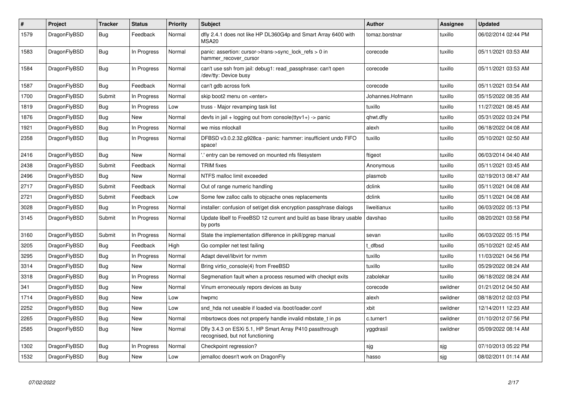| $\vert$ # | Project      | <b>Tracker</b> | <b>Status</b> | <b>Priority</b> | <b>Subject</b>                                                                             | <b>Author</b>    | <b>Assignee</b> | Updated             |
|-----------|--------------|----------------|---------------|-----------------|--------------------------------------------------------------------------------------------|------------------|-----------------|---------------------|
| 1579      | DragonFlyBSD | Bug            | Feedback      | Normal          | dfly 2.4.1 does not like HP DL360G4p and Smart Array 6400 with<br>MSA <sub>20</sub>        | tomaz.borstnar   | tuxillo         | 06/02/2014 02:44 PM |
| 1583      | DragonFlyBSD | Bug            | In Progress   | Normal          | panic: assertion: cursor->trans->sync lock refs $> 0$ in<br>hammer recover cursor          | corecode         | tuxillo         | 05/11/2021 03:53 AM |
| 1584      | DragonFlyBSD | Bug            | In Progress   | Normal          | can't use ssh from jail: debug1: read passphrase: can't open<br>/dev/tty: Device busy      | corecode         | tuxillo         | 05/11/2021 03:53 AM |
| 1587      | DragonFlyBSD | <b>Bug</b>     | Feedback      | Normal          | can't gdb across fork                                                                      | corecode         | tuxillo         | 05/11/2021 03:54 AM |
| 1700      | DragonFlyBSD | Submit         | In Progress   | Normal          | skip boot2 menu on <enter></enter>                                                         | Johannes.Hofmann | tuxillo         | 05/15/2022 08:35 AM |
| 1819      | DragonFlyBSD | <b>Bug</b>     | In Progress   | Low             | truss - Major revamping task list                                                          | tuxillo          | tuxillo         | 11/27/2021 08:45 AM |
| 1876      | DragonFlyBSD | <b>Bug</b>     | <b>New</b>    | Normal          | devfs in jail + logging out from console(ttyv1+) -> panic                                  | qhwt.dfly        | tuxillo         | 05/31/2022 03:24 PM |
| 1921      | DragonFlyBSD | <b>Bug</b>     | In Progress   | Normal          | we miss mlockall                                                                           | alexh            | tuxillo         | 06/18/2022 04:08 AM |
| 2358      | DragonFlyBSD | Bug            | In Progress   | Normal          | DFBSD v3.0.2.32.g928ca - panic: hammer: insufficient undo FIFO<br>space!                   | tuxillo          | tuxillo         | 05/10/2021 02:50 AM |
| 2416      | DragonFlyBSD | Bug            | <b>New</b>    | Normal          | ".' entry can be removed on mounted nfs filesystem                                         | ftigeot          | tuxillo         | 06/03/2014 04:40 AM |
| 2438      | DragonFlyBSD | Submit         | Feedback      | Normal          | <b>TRIM</b> fixes                                                                          | Anonymous        | tuxillo         | 05/11/2021 03:45 AM |
| 2496      | DragonFlyBSD | Bug            | New           | Normal          | NTFS malloc limit exceeded                                                                 | plasmob          | tuxillo         | 02/19/2013 08:47 AM |
| 2717      | DragonFlyBSD | Submit         | Feedback      | Normal          | Out of range numeric handling                                                              | dclink           | tuxillo         | 05/11/2021 04:08 AM |
| 2721      | DragonFlyBSD | Submit         | Feedback      | Low             | Some few zalloc calls to objcache ones replacements                                        | dclink           | tuxillo         | 05/11/2021 04:08 AM |
| 3028      | DragonFlyBSD | <b>Bug</b>     | In Progress   | Normal          | installer: confusion of set/get disk encryption passphrase dialogs                         | liweitianux      | tuxillo         | 06/03/2022 05:13 PM |
| 3145      | DragonFlyBSD | Submit         | In Progress   | Normal          | Update libelf to FreeBSD 12 current and build as base library usable<br>by ports           | davshao          | tuxillo         | 08/20/2021 03:58 PM |
| 3160      | DragonFlyBSD | Submit         | In Progress   | Normal          | State the implementation difference in pkill/pgrep manual                                  | sevan            | tuxillo         | 06/03/2022 05:15 PM |
| 3205      | DragonFlyBSD | Bug            | Feedback      | High            | Go compiler net test failing                                                               | t dfbsd          | tuxillo         | 05/10/2021 02:45 AM |
| 3295      | DragonFlyBSD | <b>Bug</b>     | In Progress   | Normal          | Adapt devel/libvirt for nvmm                                                               | tuxillo          | tuxillo         | 11/03/2021 04:56 PM |
| 3314      | DragonFlyBSD | Bug            | <b>New</b>    | Normal          | Bring virtio console(4) from FreeBSD                                                       | tuxillo          | tuxillo         | 05/29/2022 08:24 AM |
| 3318      | DragonFlyBSD | <b>Bug</b>     | In Progress   | Normal          | Segmenation fault when a process resumed with checkpt exits                                | zabolekar        | tuxillo         | 06/18/2022 08:24 AM |
| 341       | DragonFlyBSD | <b>Bug</b>     | <b>New</b>    | Normal          | Vinum erroneously repors devices as busy                                                   | corecode         | swildner        | 01/21/2012 04:50 AM |
| 1714      | DragonFlyBSD | <b>Bug</b>     | <b>New</b>    | Low             | hwpmc                                                                                      | alexh            | swildner        | 08/18/2012 02:03 PM |
| 2252      | DragonFlyBSD | Bug            | New           | Low             | snd hda not useable if loaded via /boot/loader.conf                                        | xbit             | swildner        | 12/14/2011 12:23 AM |
| 2265      | DragonFlyBSD | Bug            | New           | Normal          | mbsrtowcs does not properly handle invalid mbstate_t in ps                                 | c.turner1        | swildner        | 01/10/2012 07:56 PM |
| 2585      | DragonFlyBSD | Bug            | New           | Normal          | Dfly 3.4.3 on ESXi 5.1, HP Smart Array P410 passthrough<br>recognised, but not functioning | yggdrasil        | swildner        | 05/09/2022 08:14 AM |
| 1302      | DragonFlyBSD | <b>Bug</b>     | In Progress   | Normal          | Checkpoint regression?                                                                     | sjg              | sjg             | 07/10/2013 05:22 PM |
| 1532      | DragonFlyBSD | <b>Bug</b>     | New           | Low             | jemalloc doesn't work on DragonFly                                                         | hasso            | sjg             | 08/02/2011 01:14 AM |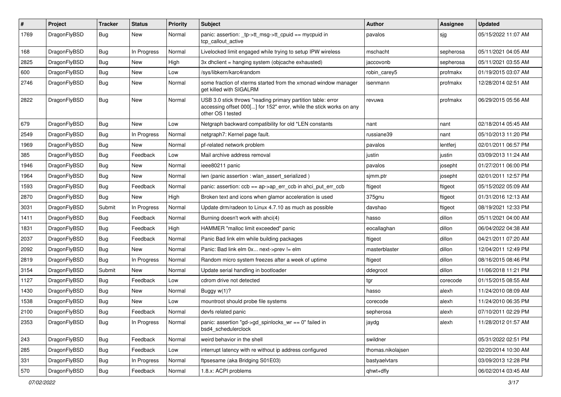| $\sharp$ | Project      | <b>Tracker</b> | <b>Status</b> | <b>Priority</b> | Subject                                                                                                                                                  | Author            | Assignee  | <b>Updated</b>      |
|----------|--------------|----------------|---------------|-----------------|----------------------------------------------------------------------------------------------------------------------------------------------------------|-------------------|-----------|---------------------|
| 1769     | DragonFlyBSD | <b>Bug</b>     | New           | Normal          | panic: assertion: _tp->tt_msg->tt_cpuid == mycpuid in<br>tcp_callout_active                                                                              | pavalos           | sjg       | 05/15/2022 11:07 AM |
| 168      | DragonFlyBSD | <b>Bug</b>     | In Progress   | Normal          | Livelocked limit engaged while trying to setup IPW wireless                                                                                              | mschacht          | sepherosa | 05/11/2021 04:05 AM |
| 2825     | DragonFlyBSD | <b>Bug</b>     | New           | High            | 3x dhclient = hanging system (objcache exhausted)                                                                                                        | jaccovonb         | sepherosa | 05/11/2021 03:55 AM |
| 600      | DragonFlyBSD | <b>Bug</b>     | New           | Low             | /sys/libkern/karc4random                                                                                                                                 | robin_carey5      | profmakx  | 01/19/2015 03:07 AM |
| 2746     | DragonFlyBSD | <b>Bug</b>     | New           | Normal          | some fraction of xterms started from the xmonad window manager<br>get killed with SIGALRM                                                                | isenmann          | profmakx  | 12/28/2014 02:51 AM |
| 2822     | DragonFlyBSD | <b>Bug</b>     | New           | Normal          | USB 3.0 stick throws "reading primary partition table: error<br>accessing offset 000[] for 152" error, while the stick works on any<br>other OS I tested | revuwa            | profmakx  | 06/29/2015 05:56 AM |
| 679      | DragonFlyBSD | <b>Bug</b>     | New           | Low             | Netgraph backward compatibility for old *LEN constants                                                                                                   | nant              | nant      | 02/18/2014 05:45 AM |
| 2549     | DragonFlyBSD | <b>Bug</b>     | In Progress   | Normal          | netgraph7: Kernel page fault.                                                                                                                            | russiane39        | nant      | 05/10/2013 11:20 PM |
| 1969     | DragonFlyBSD | <b>Bug</b>     | New           | Normal          | pf-related network problem                                                                                                                               | pavalos           | lentferj  | 02/01/2011 06:57 PM |
| 385      | DragonFlyBSD | <b>Bug</b>     | Feedback      | Low             | Mail archive address removal                                                                                                                             | justin            | justin    | 03/09/2013 11:24 AM |
| 1946     | DragonFlyBSD | <b>Bug</b>     | <b>New</b>    | Normal          | ieee80211 panic                                                                                                                                          | pavalos           | josepht   | 01/27/2011 06:00 PM |
| 1964     | DragonFlyBSD | <b>Bug</b>     | New           | Normal          | iwn (panic assertion : wlan assert serialized)                                                                                                           | sjmm.ptr          | josepht   | 02/01/2011 12:57 PM |
| 1593     | DragonFlyBSD | <b>Bug</b>     | Feedback      | Normal          | panic: assertion: ccb == ap->ap_err_ccb in ahci_put_err_ccb                                                                                              | ftigeot           | ftigeot   | 05/15/2022 05:09 AM |
| 2870     | DragonFlyBSD | <b>Bug</b>     | New           | High            | Broken text and icons when glamor acceleration is used                                                                                                   | 375gnu            | ftigeot   | 01/31/2016 12:13 AM |
| 3031     | DragonFlyBSD | Submit         | In Progress   | Normal          | Update drm/radeon to Linux 4.7.10 as much as possible                                                                                                    | davshao           | ftigeot   | 08/19/2021 12:33 PM |
| 1411     | DragonFlyBSD | <b>Bug</b>     | Feedback      | Normal          | Burning doesn't work with ahci(4)                                                                                                                        | hasso             | dillon    | 05/11/2021 04:00 AM |
| 1831     | DragonFlyBSD | <b>Bug</b>     | Feedback      | High            | HAMMER "malloc limit exceeded" panic                                                                                                                     | eocallaghan       | dillon    | 06/04/2022 04:38 AM |
| 2037     | DragonFlyBSD | <b>Bug</b>     | Feedback      | Normal          | Panic Bad link elm while building packages                                                                                                               | ftigeot           | dillon    | 04/21/2011 07:20 AM |
| 2092     | DragonFlyBSD | <b>Bug</b>     | <b>New</b>    | Normal          | Panic: Bad link elm 0x next->prev != elm                                                                                                                 | masterblaster     | dillon    | 12/04/2011 12:49 PM |
| 2819     | DragonFlyBSD | <b>Bug</b>     | In Progress   | Normal          | Random micro system freezes after a week of uptime                                                                                                       | ftigeot           | dillon    | 08/16/2015 08:46 PM |
| 3154     | DragonFlyBSD | Submit         | New           | Normal          | Update serial handling in bootloader                                                                                                                     | ddegroot          | dillon    | 11/06/2018 11:21 PM |
| 1127     | DragonFlyBSD | <b>Bug</b>     | Feedback      | Low             | cdrom drive not detected                                                                                                                                 | tgr               | corecode  | 01/15/2015 08:55 AM |
| 1430     | DragonFlyBSD | <b>Bug</b>     | New           | Normal          | Buggy w(1)?                                                                                                                                              | hasso             | alexh     | 11/24/2010 08:09 AM |
| 1538     | DragonFlyBSD | <b>Bug</b>     | New           | Low             | mountroot should probe file systems                                                                                                                      | corecode          | alexh     | 11/24/2010 06:35 PM |
| 2100     | DragonFlyBSD | <b>Bug</b>     | Feedback      | Normal          | devfs related panic                                                                                                                                      | sepherosa         | alexh     | 07/10/2011 02:29 PM |
| 2353     | DragonFlyBSD | <b>Bug</b>     | In Progress   | Normal          | panic: assertion "gd->gd_spinlocks_wr == 0" failed in<br>bsd4 schedulerclock                                                                             | jaydg             | alexh     | 11/28/2012 01:57 AM |
| 243      | DragonFlyBSD | <b>Bug</b>     | Feedback      | Normal          | weird behavior in the shell                                                                                                                              | swildner          |           | 05/31/2022 02:51 PM |
| 285      | DragonFlyBSD | <b>Bug</b>     | Feedback      | Low             | interrupt latency with re without ip address configured                                                                                                  | thomas.nikolajsen |           | 02/20/2014 10:30 AM |
| 331      | DragonFlyBSD | <b>Bug</b>     | In Progress   | Normal          | ftpsesame (aka Bridging S01E03)                                                                                                                          | bastyaelvtars     |           | 03/09/2013 12:28 PM |
| 570      | DragonFlyBSD | <b>Bug</b>     | Feedback      | Normal          | 1.8.x: ACPI problems                                                                                                                                     | qhwt+dfly         |           | 06/02/2014 03:45 AM |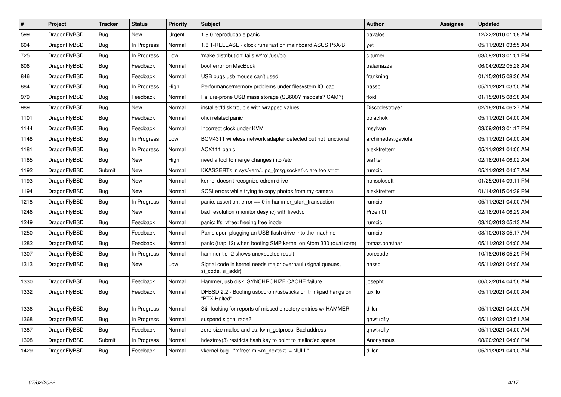| $\pmb{\#}$ | Project      | <b>Tracker</b> | <b>Status</b> | <b>Priority</b> | Subject                                                                         | <b>Author</b>      | Assignee | Updated             |
|------------|--------------|----------------|---------------|-----------------|---------------------------------------------------------------------------------|--------------------|----------|---------------------|
| 599        | DragonFlyBSD | <b>Bug</b>     | <b>New</b>    | Urgent          | 1.9.0 reproducable panic                                                        | pavalos            |          | 12/22/2010 01:08 AM |
| 604        | DragonFlyBSD | Bug            | In Progress   | Normal          | 1.8.1-RELEASE - clock runs fast on mainboard ASUS P5A-B                         | veti               |          | 05/11/2021 03:55 AM |
| 725        | DragonFlyBSD | Bug            | In Progress   | Low             | 'make distribution' fails w/'ro' /usr/obj                                       | c.turner           |          | 03/09/2013 01:01 PM |
| 806        | DragonFlyBSD | <b>Bug</b>     | Feedback      | Normal          | boot error on MacBook                                                           | tralamazza         |          | 06/04/2022 05:28 AM |
| 846        | DragonFlyBSD | <b>Bug</b>     | Feedback      | Normal          | USB bugs:usb mouse can't used!                                                  | frankning          |          | 01/15/2015 08:36 AM |
| 884        | DragonFlyBSD | Bug            | In Progress   | High            | Performance/memory problems under filesystem IO load                            | hasso              |          | 05/11/2021 03:50 AM |
| 979        | DragonFlyBSD | <b>Bug</b>     | Feedback      | Normal          | Failure-prone USB mass storage (SB600? msdosfs? CAM?)                           | floid              |          | 01/15/2015 08:38 AM |
| 989        | DragonFlyBSD | <b>Bug</b>     | <b>New</b>    | Normal          | installer/fdisk trouble with wrapped values                                     | Discodestroyer     |          | 02/18/2014 06:27 AM |
| 1101       | DragonFlyBSD | <b>Bug</b>     | Feedback      | Normal          | ohci related panic                                                              | polachok           |          | 05/11/2021 04:00 AM |
| 1144       | DragonFlyBSD | <b>Bug</b>     | Feedback      | Normal          | Incorrect clock under KVM                                                       | msylvan            |          | 03/09/2013 01:17 PM |
| 1148       | DragonFlyBSD | Bug            | In Progress   | Low             | BCM4311 wireless network adapter detected but not functional                    | archimedes.gaviola |          | 05/11/2021 04:00 AM |
| 1181       | DragonFlyBSD | Bug            | In Progress   | Normal          | ACX111 panic                                                                    | elekktretterr      |          | 05/11/2021 04:00 AM |
| 1185       | DragonFlyBSD | <b>Bug</b>     | <b>New</b>    | High            | need a tool to merge changes into /etc                                          | wa1ter             |          | 02/18/2014 06:02 AM |
| 1192       | DragonFlyBSD | Submit         | <b>New</b>    | Normal          | KKASSERTs in sys/kern/uipc {msg,socket}.c are too strict                        | rumcic             |          | 05/11/2021 04:07 AM |
| 1193       | DragonFlyBSD | <b>Bug</b>     | <b>New</b>    | Normal          | kernel doesn't recognize cdrom drive                                            | nonsolosoft        |          | 01/25/2014 09:11 PM |
| 1194       | DragonFlyBSD | Bug            | New           | Normal          | SCSI errors while trying to copy photos from my camera                          | elekktretterr      |          | 01/14/2015 04:39 PM |
| 1218       | DragonFlyBSD | <b>Bug</b>     | In Progress   | Normal          | panic: assertion: $error == 0$ in hammer start transaction                      | rumcic             |          | 05/11/2021 04:00 AM |
| 1246       | DragonFlyBSD | <b>Bug</b>     | New           | Normal          | bad resolution (monitor desync) with livedvd                                    | Przem0l            |          | 02/18/2014 06:29 AM |
| 1249       | DragonFlyBSD | Bug            | Feedback      | Normal          | panic: ffs_vfree: freeing free inode                                            | rumcic             |          | 03/10/2013 05:13 AM |
| 1250       | DragonFlyBSD | <b>Bug</b>     | Feedback      | Normal          | Panic upon plugging an USB flash drive into the machine                         | rumcic             |          | 03/10/2013 05:17 AM |
| 1282       | DragonFlyBSD | <b>Bug</b>     | Feedback      | Normal          | panic (trap 12) when booting SMP kernel on Atom 330 (dual core)                 | tomaz.borstnar     |          | 05/11/2021 04:00 AM |
| 1307       | DragonFlyBSD | Bug            | In Progress   | Normal          | hammer tid -2 shows unexpected result                                           | corecode           |          | 10/18/2016 05:29 PM |
| 1313       | DragonFlyBSD | <b>Bug</b>     | New           | Low             | Signal code in kernel needs major overhaul (signal queues,<br>si code, si addr) | hasso              |          | 05/11/2021 04:00 AM |
| 1330       | DragonFlyBSD | <b>Bug</b>     | Feedback      | Normal          | Hammer, usb disk, SYNCHRONIZE CACHE failure                                     | josepht            |          | 06/02/2014 04:56 AM |
| 1332       | DragonFlyBSD | <b>Bug</b>     | Feedback      | Normal          | DFBSD 2.2 - Booting usbcdrom/usbsticks on thinkpad hangs on<br>"BTX Halted"     | tuxillo            |          | 05/11/2021 04:00 AM |
| 1336       | DragonFlyBSD | Bug            | In Progress   | Normal          | Still looking for reports of missed directory entries w/ HAMMER                 | dillon             |          | 05/11/2021 04:00 AM |
| 1368       | DragonFlyBSD | <b>Bug</b>     | In Progress   | Normal          | suspend signal race?                                                            | qhwt+dfly          |          | 05/11/2021 03:51 AM |
| 1387       | DragonFlyBSD | Bug            | Feedback      | Normal          | zero-size malloc and ps: kvm getprocs: Bad address                              | qhwt+dfly          |          | 05/11/2021 04:00 AM |
| 1398       | DragonFlyBSD | Submit         | In Progress   | Normal          | hdestroy(3) restricts hash key to point to malloc'ed space                      | Anonymous          |          | 08/20/2021 04:06 PM |
| 1429       | DragonFlyBSD | Bug            | Feedback      | Normal          | vkernel bug - "mfree: m->m_nextpkt != NULL"                                     | dillon             |          | 05/11/2021 04:00 AM |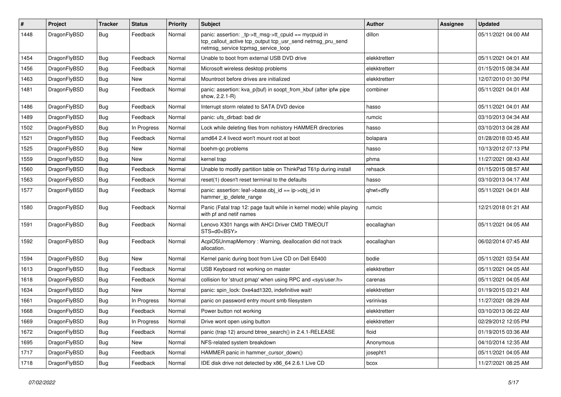| $\pmb{\#}$ | Project      | <b>Tracker</b> | <b>Status</b> | <b>Priority</b> | Subject                                                                                                                                                   | Author        | Assignee | <b>Updated</b>      |
|------------|--------------|----------------|---------------|-----------------|-----------------------------------------------------------------------------------------------------------------------------------------------------------|---------------|----------|---------------------|
| 1448       | DragonFlyBSD | Bug            | Feedback      | Normal          | panic: assertion: _tp->tt_msg->tt_cpuid == mycpuid in<br>tcp_callout_active tcp_output tcp_usr_send netmsg_pru_send<br>netmsg_service tcpmsg_service_loop | dillon        |          | 05/11/2021 04:00 AM |
| 1454       | DragonFlyBSD | Bug            | Feedback      | Normal          | Unable to boot from external USB DVD drive                                                                                                                | elekktretterr |          | 05/11/2021 04:01 AM |
| 1456       | DragonFlyBSD | <b>Bug</b>     | Feedback      | Normal          | Microsoft wireless desktop problems                                                                                                                       | elekktretterr |          | 01/15/2015 08:34 AM |
| 1463       | DragonFlyBSD | <b>Bug</b>     | New           | Normal          | Mountroot before drives are initialized                                                                                                                   | elekktretterr |          | 12/07/2010 01:30 PM |
| 1481       | DragonFlyBSD | Bug            | Feedback      | Normal          | panic: assertion: kva_p(buf) in soopt_from_kbuf (after ipfw pipe<br>show, 2.2.1-R)                                                                        | combiner      |          | 05/11/2021 04:01 AM |
| 1486       | DragonFlyBSD | <b>Bug</b>     | Feedback      | Normal          | Interrupt storm related to SATA DVD device                                                                                                                | hasso         |          | 05/11/2021 04:01 AM |
| 1489       | DragonFlyBSD | Bug            | Feedback      | Normal          | panic: ufs dirbad: bad dir                                                                                                                                | rumcic        |          | 03/10/2013 04:34 AM |
| 1502       | DragonFlyBSD | <b>Bug</b>     | In Progress   | Normal          | Lock while deleting files from nohistory HAMMER directories                                                                                               | hasso         |          | 03/10/2013 04:28 AM |
| 1521       | DragonFlyBSD | Bug            | Feedback      | Normal          | amd64 2.4 livecd won't mount root at boot                                                                                                                 | bolapara      |          | 01/28/2018 03:45 AM |
| 1525       | DragonFlyBSD | <b>Bug</b>     | <b>New</b>    | Normal          | boehm-gc problems                                                                                                                                         | hasso         |          | 10/13/2012 07:13 PM |
| 1559       | DragonFlyBSD | <b>Bug</b>     | New           | Normal          | kernel trap                                                                                                                                               | phma          |          | 11/27/2021 08:43 AM |
| 1560       | DragonFlyBSD | <b>Bug</b>     | Feedback      | Normal          | Unable to modify partition table on ThinkPad T61p during install                                                                                          | rehsack       |          | 01/15/2015 08:57 AM |
| 1563       | DragonFlyBSD | <b>Bug</b>     | Feedback      | Normal          | reset(1) doesn't reset terminal to the defaults                                                                                                           | hasso         |          | 03/10/2013 04:17 AM |
| 1577       | DragonFlyBSD | Bug            | Feedback      | Normal          | panic: assertion: leaf->base.obj id == ip->obj id in<br>hammer_ip_delete_range                                                                            | qhwt+dfly     |          | 05/11/2021 04:01 AM |
| 1580       | DragonFlyBSD | Bug            | Feedback      | Normal          | Panic (Fatal trap 12: page fault while in kernel mode) while playing<br>with pf and netif names                                                           | rumcic        |          | 12/21/2018 01:21 AM |
| 1591       | DragonFlyBSD | <b>Bug</b>     | Feedback      | Normal          | Lenovo X301 hangs with AHCI Driver CMD TIMEOUT<br>STS=d0 <bsy></bsy>                                                                                      | eocallaghan   |          | 05/11/2021 04:05 AM |
| 1592       | DragonFlyBSD | Bug            | Feedback      | Normal          | AcpiOSUnmapMemory: Warning, deallocation did not track<br>allocation.                                                                                     | eocallaghan   |          | 06/02/2014 07:45 AM |
| 1594       | DragonFlyBSD | <b>Bug</b>     | <b>New</b>    | Normal          | Kernel panic during boot from Live CD on Dell E6400                                                                                                       | bodie         |          | 05/11/2021 03:54 AM |
| 1613       | DragonFlyBSD | <b>Bug</b>     | Feedback      | Normal          | USB Keyboard not working on master                                                                                                                        | elekktretterr |          | 05/11/2021 04:05 AM |
| 1618       | DragonFlyBSD | <b>Bug</b>     | Feedback      | Normal          | collision for 'struct pmap' when using RPC and <sys user.h=""></sys>                                                                                      | carenas       |          | 05/11/2021 04:05 AM |
| 1634       | DragonFlyBSD | <b>Bug</b>     | New           | Normal          | panic: spin lock: 0xe4ad1320, indefinitive wait!                                                                                                          | elekktretterr |          | 01/19/2015 03:21 AM |
| 1661       | DragonFlyBSD | <b>Bug</b>     | In Progress   | Normal          | panic on password entry mount smb filesystem                                                                                                              | vsrinivas     |          | 11/27/2021 08:29 AM |
| 1668       | DragonFlyBSD | <b>Bug</b>     | Feedback      | Normal          | Power button not working                                                                                                                                  | elekktretterr |          | 03/10/2013 06:22 AM |
| 1669       | DragonFlyBSD | Bug            | In Progress   | Normal          | Drive wont open using button                                                                                                                              | elekktretterr |          | 02/29/2012 12:05 PM |
| 1672       | DragonFlyBSD | Bug            | Feedback      | Normal          | panic (trap 12) around btree_search() in 2.4.1-RELEASE                                                                                                    | floid         |          | 01/19/2015 03:36 AM |
| 1695       | DragonFlyBSD | <b>Bug</b>     | New           | Normal          | NFS-related system breakdown                                                                                                                              | Anonymous     |          | 04/10/2014 12:35 AM |
| 1717       | DragonFlyBSD | Bug            | Feedback      | Normal          | HAMMER panic in hammer_cursor_down()                                                                                                                      | josepht1      |          | 05/11/2021 04:05 AM |
| 1718       | DragonFlyBSD | Bug            | Feedback      | Normal          | IDE disk drive not detected by x86_64 2.6.1 Live CD                                                                                                       | bcox          |          | 11/27/2021 08:25 AM |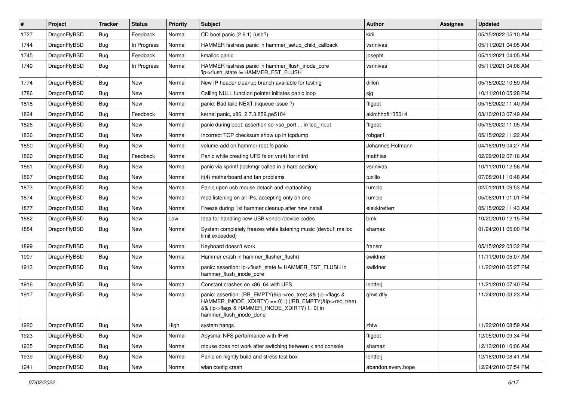| $\#$ | Project      | <b>Tracker</b> | <b>Status</b> | <b>Priority</b> | <b>Subject</b>                                                                                                                                                                                    | Author             | Assignee | <b>Updated</b>      |
|------|--------------|----------------|---------------|-----------------|---------------------------------------------------------------------------------------------------------------------------------------------------------------------------------------------------|--------------------|----------|---------------------|
| 1727 | DragonFlyBSD | <b>Bug</b>     | Feedback      | Normal          | CD boot panic (2.6.1) (usb?)                                                                                                                                                                      | kiril              |          | 05/15/2022 05:10 AM |
| 1744 | DragonFlyBSD | <b>Bug</b>     | In Progress   | Normal          | HAMMER fsstress panic in hammer_setup_child_callback                                                                                                                                              | vsrinivas          |          | 05/11/2021 04:05 AM |
| 1745 | DragonFlyBSD | <b>Bug</b>     | Feedback      | Normal          | kmalloc panic                                                                                                                                                                                     | josepht            |          | 05/11/2021 04:05 AM |
| 1749 | DragonFlyBSD | <b>Bug</b>     | In Progress   | Normal          | HAMMER fsstress panic in hammer flush inode core<br>'ip->flush_state != HAMMER_FST_FLUSH'                                                                                                         | vsrinivas          |          | 05/11/2021 04:06 AM |
| 1774 | DragonFlyBSD | <b>Bug</b>     | New           | Normal          | New IP header cleanup branch available for testing                                                                                                                                                | dillon             |          | 05/15/2022 10:59 AM |
| 1786 | DragonFlyBSD | Bug            | <b>New</b>    | Normal          | Calling NULL function pointer initiates panic loop                                                                                                                                                | sjg                |          | 10/11/2010 05:28 PM |
| 1818 | DragonFlyBSD | Bug            | New           | Normal          | panic: Bad tailq NEXT (kqueue issue ?)                                                                                                                                                            | ftigeot            |          | 05/15/2022 11:40 AM |
| 1824 | DragonFlyBSD | Bug            | Feedback      | Normal          | kernel panic, x86, 2.7.3.859.ge5104                                                                                                                                                               | akirchhoff135014   |          | 03/10/2013 07:49 AM |
| 1826 | DragonFlyBSD | <b>Bug</b>     | New           | Normal          | panic during boot: assertion so->so_port  in tcp_input                                                                                                                                            | ftigeot            |          | 05/15/2022 11:05 AM |
| 1836 | DragonFlyBSD | Bug            | New           | Normal          | Incorrect TCP checksum show up in tcpdump                                                                                                                                                         | robgar1            |          | 05/15/2022 11:22 AM |
| 1850 | DragonFlyBSD | Bug            | New           | Normal          | volume-add on hammer root fs panic                                                                                                                                                                | Johannes.Hofmann   |          | 04/18/2019 04:27 AM |
| 1860 | DragonFlyBSD | <b>Bug</b>     | Feedback      | Normal          | Panic while creating UFS fs on vn(4) for initrd                                                                                                                                                   | matthias           |          | 02/29/2012 07:16 AM |
| 1861 | DragonFlyBSD | <b>Bug</b>     | New           | Normal          | panic via kprintf (lockmgr called in a hard section)                                                                                                                                              | vsrinivas          |          | 10/11/2010 12:56 AM |
| 1867 | DragonFlyBSD | <b>Bug</b>     | New           | Normal          | it(4) motherboard and fan problems                                                                                                                                                                | tuxillo            |          | 07/08/2011 10:48 AM |
| 1873 | DragonFlyBSD | <b>Bug</b>     | New           | Normal          | Panic upon usb mouse detach and reattaching                                                                                                                                                       | rumcic             |          | 02/01/2011 09:53 AM |
| 1874 | DragonFlyBSD | <b>Bug</b>     | New           | Normal          | mpd listening on all IPs, accepting only on one                                                                                                                                                   | rumcic             |          | 05/08/2011 01:01 PM |
| 1877 | DragonFlyBSD | <b>Bug</b>     | New           | Normal          | Freeze during 1st hammer cleanup after new install                                                                                                                                                | elekktretterr      |          | 05/15/2022 11:43 AM |
| 1882 | DragonFlyBSD | <b>Bug</b>     | New           | Low             | Idea for handling new USB vendor/device codes                                                                                                                                                     | bmk                |          | 10/20/2010 12:15 PM |
| 1884 | DragonFlyBSD | Bug            | New           | Normal          | System completely freezes while listening music (devbuf: malloc<br>limit exceeded)                                                                                                                | shamaz             |          | 01/24/2011 05:00 PM |
| 1899 | DragonFlyBSD | Bug            | New           | Normal          | Keyboard doesn't work                                                                                                                                                                             | fransm             |          | 05/15/2022 03:32 PM |
| 1907 | DragonFlyBSD | <b>Bug</b>     | New           | Normal          | Hammer crash in hammer_flusher_flush()                                                                                                                                                            | swildner           |          | 11/11/2010 05:07 AM |
| 1913 | DragonFlyBSD | <b>Bug</b>     | New           | Normal          | panic: assertion: ip->flush_state != HAMMER_FST_FLUSH in<br>hammer_flush_inode_core                                                                                                               | swildner           |          | 11/20/2010 05:27 PM |
| 1916 | DragonFlyBSD | Bug            | New           | Normal          | Constant crashes on x86_64 with UFS                                                                                                                                                               | lentferj           |          | 11/21/2010 07:40 PM |
| 1917 | DragonFlyBSD | <b>Bug</b>     | New           | Normal          | panic: assertion: (RB EMPTY(&ip->rec tree) && (ip->flags &<br>HAMMER_INODE_XDIRTY) == 0)    (!RB_EMPTY(&ip->rec_tree)<br>&& (ip->flags & HAMMER_INODE_XDIRTY) != 0) in<br>hammer_flush_inode_done | qhwt.dfly          |          | 11/24/2010 03:23 AM |
| 1920 | DragonFlyBSD | Bug            | New           | High            | system hangs                                                                                                                                                                                      | zhtw               |          | 11/22/2010 08:59 AM |
| 1923 | DragonFlyBSD | Bug            | New           | Normal          | Abysmal NFS performance with IPv6                                                                                                                                                                 | ftigeot            |          | 12/05/2010 09:34 PM |
| 1935 | DragonFlyBSD | <b>Bug</b>     | New           | Normal          | mouse does not work after switching between x and console                                                                                                                                         | shamaz             |          | 12/13/2010 10:06 AM |
| 1939 | DragonFlyBSD | Bug            | New           | Normal          | Panic on nightly build and stress test box                                                                                                                                                        | lentferj           |          | 12/18/2010 08:41 AM |
| 1941 | DragonFlyBSD | Bug            | New           | Normal          | wlan config crash                                                                                                                                                                                 | abandon.every.hope |          | 12/24/2010 07:54 PM |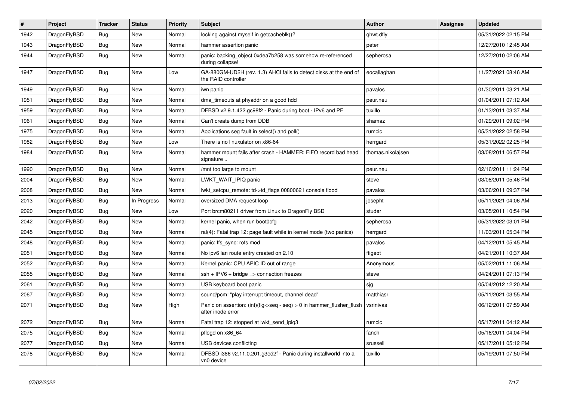| $\vert$ # | Project      | <b>Tracker</b> | <b>Status</b> | <b>Priority</b> | <b>Subject</b>                                                                             | <b>Author</b>     | Assignee | Updated             |
|-----------|--------------|----------------|---------------|-----------------|--------------------------------------------------------------------------------------------|-------------------|----------|---------------------|
| 1942      | DragonFlyBSD | Bug            | New           | Normal          | locking against myself in getcacheblk()?                                                   | qhwt.dfly         |          | 05/31/2022 02:15 PM |
| 1943      | DragonFlyBSD | Bug            | New           | Normal          | hammer assertion panic                                                                     | peter             |          | 12/27/2010 12:45 AM |
| 1944      | DragonFlyBSD | <b>Bug</b>     | New           | Normal          | panic: backing object 0xdea7b258 was somehow re-referenced<br>during collapse!             | sepherosa         |          | 12/27/2010 02:06 AM |
| 1947      | DragonFlyBSD | <b>Bug</b>     | <b>New</b>    | Low             | GA-880GM-UD2H (rev. 1.3) AHCI fails to detect disks at the end of<br>the RAID controller   | eocallaghan       |          | 11/27/2021 08:46 AM |
| 1949      | DragonFlyBSD | Bug            | <b>New</b>    | Normal          | iwn panic                                                                                  | pavalos           |          | 01/30/2011 03:21 AM |
| 1951      | DragonFlyBSD | <b>Bug</b>     | New           | Normal          | dma timeouts at phyaddr on a good hdd                                                      | peur.neu          |          | 01/04/2011 07:12 AM |
| 1959      | DragonFlyBSD | <b>Bug</b>     | <b>New</b>    | Normal          | DFBSD v2.9.1.422.gc98f2 - Panic during boot - IPv6 and PF                                  | tuxillo           |          | 01/13/2011 03:37 AM |
| 1961      | DragonFlyBSD | <b>Bug</b>     | <b>New</b>    | Normal          | Can't create dump from DDB                                                                 | shamaz            |          | 01/29/2011 09:02 PM |
| 1975      | DragonFlyBSD | Bug            | <b>New</b>    | Normal          | Applications seg fault in select() and poll()                                              | rumcic            |          | 05/31/2022 02:58 PM |
| 1982      | DragonFlyBSD | <b>Bug</b>     | New           | Low             | There is no linuxulator on x86-64                                                          | herrgard          |          | 05/31/2022 02:25 PM |
| 1984      | DragonFlyBSD | <b>Bug</b>     | New           | Normal          | hammer mount fails after crash - HAMMER: FIFO record bad head<br>signature                 | thomas.nikolajsen |          | 03/08/2011 06:57 PM |
| 1990      | DragonFlyBSD | <b>Bug</b>     | New           | Normal          | /mnt too large to mount                                                                    | peur.neu          |          | 02/16/2011 11:24 PM |
| 2004      | DragonFlyBSD | Bug            | New           | Normal          | LWKT WAIT IPIQ panic                                                                       | steve             |          | 03/08/2011 05:46 PM |
| 2008      | DragonFlyBSD | <b>Bug</b>     | New           | Normal          | lwkt setcpu remote: td->td flags 00800621 console flood                                    | pavalos           |          | 03/06/2011 09:37 PM |
| 2013      | DragonFlyBSD | Bug            | In Progress   | Normal          | oversized DMA request loop                                                                 | josepht           |          | 05/11/2021 04:06 AM |
| 2020      | DragonFlyBSD | Bug            | New           | Low             | Port brcm80211 driver from Linux to DragonFly BSD                                          | studer            |          | 03/05/2011 10:54 PM |
| 2042      | DragonFlyBSD | <b>Bug</b>     | New           | Normal          | kernel panic, when run boot0cfg                                                            | sepherosa         |          | 05/31/2022 03:01 PM |
| 2045      | DragonFlyBSD | <b>Bug</b>     | <b>New</b>    | Normal          | ral(4): Fatal trap 12: page fault while in kernel mode (two panics)                        | herrgard          |          | 11/03/2011 05:34 PM |
| 2048      | DragonFlyBSD | Bug            | <b>New</b>    | Normal          | panic: ffs_sync: rofs mod                                                                  | pavalos           |          | 04/12/2011 05:45 AM |
| 2051      | DragonFlyBSD | <b>Bug</b>     | New           | Normal          | No ipv6 lan route entry created on 2.10                                                    | ftigeot           |          | 04/21/2011 10:37 AM |
| 2052      | DragonFlyBSD | Bug            | New           | Normal          | Kernel panic: CPU APIC ID out of range                                                     | Anonymous         |          | 05/02/2011 11:06 AM |
| 2055      | DragonFlyBSD | Bug            | New           | Normal          | $ssh + IPV6 + bridge \Rightarrow connection freezes$                                       | steve             |          | 04/24/2011 07:13 PM |
| 2061      | DragonFlyBSD | Bug            | New           | Normal          | USB keyboard boot panic                                                                    | sjg               |          | 05/04/2012 12:20 AM |
| 2067      | DragonFlyBSD | <b>Bug</b>     | New           | Normal          | sound/pcm: "play interrupt timeout, channel dead"                                          | matthiasr         |          | 05/11/2021 03:55 AM |
| 2071      | DragonFlyBSD | <b>Bug</b>     | <b>New</b>    | High            | Panic on assertion: (int)(flg->seq - seq) > 0 in hammer_flusher_flush<br>after inode error | vsrinivas         |          | 06/12/2011 07:59 AM |
| 2072      | DragonFlyBSD | <b>Bug</b>     | <b>New</b>    | Normal          | Fatal trap 12: stopped at lwkt_send_ipiq3                                                  | rumcic            |          | 05/17/2011 04:12 AM |
| 2075      | DragonFlyBSD | <b>Bug</b>     | New           | Normal          | pflogd on x86 64                                                                           | fanch             |          | 05/16/2011 04:04 PM |
| 2077      | DragonFlyBSD | <b>Bug</b>     | <b>New</b>    | Normal          | USB devices conflicting                                                                    | srussell          |          | 05/17/2011 05:12 PM |
| 2078      | DragonFlyBSD | <b>Bug</b>     | <b>New</b>    | Normal          | DFBSD i386 v2.11.0.201.g3ed2f - Panic during installworld into a<br>vn0 device             | tuxillo           |          | 05/19/2011 07:50 PM |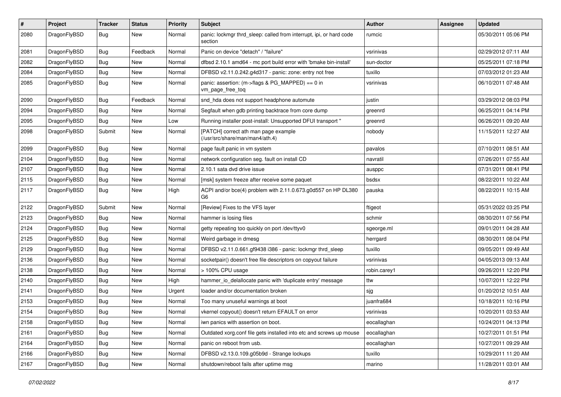| #    | Project      | <b>Tracker</b> | <b>Status</b> | <b>Priority</b> | <b>Subject</b>                                                                  | Author       | <b>Assignee</b> | <b>Updated</b>      |
|------|--------------|----------------|---------------|-----------------|---------------------------------------------------------------------------------|--------------|-----------------|---------------------|
| 2080 | DragonFlyBSD | Bug            | New           | Normal          | panic: lockmgr thrd_sleep: called from interrupt, ipi, or hard code<br>section  | rumcic       |                 | 05/30/2011 05:06 PM |
| 2081 | DragonFlyBSD | <b>Bug</b>     | Feedback      | Normal          | Panic on device "detach" / "failure"                                            | vsrinivas    |                 | 02/29/2012 07:11 AM |
| 2082 | DragonFlyBSD | <b>Bug</b>     | <b>New</b>    | Normal          | dfbsd 2.10.1 amd64 - mc port build error with 'bmake bin-install'               | sun-doctor   |                 | 05/25/2011 07:18 PM |
| 2084 | DragonFlyBSD | <b>Bug</b>     | New           | Normal          | DFBSD v2.11.0.242.g4d317 - panic: zone: entry not free                          | tuxillo      |                 | 07/03/2012 01:23 AM |
| 2085 | DragonFlyBSD | <b>Bug</b>     | New           | Normal          | panic: assertion: (m->flags & PG_MAPPED) == 0 in<br>vm_page_free_toq            | vsrinivas    |                 | 06/10/2011 07:48 AM |
| 2090 | DragonFlyBSD | <b>Bug</b>     | Feedback      | Normal          | snd hda does not support headphone automute                                     | justin       |                 | 03/29/2012 08:03 PM |
| 2094 | DragonFlyBSD | <b>Bug</b>     | New           | Normal          | Segfault when gdb printing backtrace from core dump                             | greenrd      |                 | 06/25/2011 04:14 PM |
| 2095 | DragonFlyBSD | Bug            | New           | Low             | Running installer post-install: Unsupported DFUI transport "                    | greenrd      |                 | 06/26/2011 09:20 AM |
| 2098 | DragonFlyBSD | Submit         | New           | Normal          | [PATCH] correct ath man page example<br>(/usr/src/share/man/man4/ath.4)         | nobody       |                 | 11/15/2011 12:27 AM |
| 2099 | DragonFlyBSD | Bug            | <b>New</b>    | Normal          | page fault panic in vm system                                                   | pavalos      |                 | 07/10/2011 08:51 AM |
| 2104 | DragonFlyBSD | <b>Bug</b>     | <b>New</b>    | Normal          | network configuration seg. fault on install CD                                  | navratil     |                 | 07/26/2011 07:55 AM |
| 2107 | DragonFlyBSD | <b>Bug</b>     | New           | Normal          | 2.10.1 sata dvd drive issue                                                     | ausppc       |                 | 07/31/2011 08:41 PM |
| 2115 | DragonFlyBSD | Bug            | <b>New</b>    | Normal          | [msk] system freeze after receive some paquet                                   | bsdsx        |                 | 08/22/2011 10:22 AM |
| 2117 | DragonFlyBSD | <b>Bug</b>     | New           | High            | ACPI and/or bce(4) problem with 2.11.0.673.g0d557 on HP DL380<br>G <sub>6</sub> | pauska       |                 | 08/22/2011 10:15 AM |
| 2122 | DragonFlyBSD | Submit         | <b>New</b>    | Normal          | [Review] Fixes to the VFS layer                                                 | ftigeot      |                 | 05/31/2022 03:25 PM |
| 2123 | DragonFlyBSD | Bug            | New           | Normal          | hammer is losing files                                                          | schmir       |                 | 08/30/2011 07:56 PM |
| 2124 | DragonFlyBSD | Bug            | New           | Normal          | getty repeating too quickly on port /dev/ttyv0                                  | sgeorge.ml   |                 | 09/01/2011 04:28 AM |
| 2125 | DragonFlyBSD | <b>Bug</b>     | <b>New</b>    | Normal          | Weird garbage in dmesg                                                          | herrgard     |                 | 08/30/2011 08:04 PM |
| 2129 | DragonFlyBSD | <b>Bug</b>     | New           | Normal          | DFBSD v2.11.0.661.gf9438 i386 - panic: lockmgr thrd_sleep                       | tuxillo      |                 | 09/05/2011 09:49 AM |
| 2136 | DragonFlyBSD | <b>Bug</b>     | <b>New</b>    | Normal          | socketpair() doesn't free file descriptors on copyout failure                   | vsrinivas    |                 | 04/05/2013 09:13 AM |
| 2138 | DragonFlyBSD | Bug            | New           | Normal          | > 100% CPU usage                                                                | robin.carey1 |                 | 09/26/2011 12:20 PM |
| 2140 | DragonFlyBSD | <b>Bug</b>     | New           | High            | hammer_io_delallocate panic with 'duplicate entry' message                      | ttw          |                 | 10/07/2011 12:22 PM |
| 2141 | DragonFlyBSD | <b>Bug</b>     | <b>New</b>    | Urgent          | loader and/or documentation broken                                              | sjg          |                 | 01/20/2012 10:51 AM |
| 2153 | DragonFlyBSD | <b>Bug</b>     | New           | Normal          | Too many unuseful warnings at boot                                              | juanfra684   |                 | 10/18/2011 10:16 PM |
| 2154 | DragonFlyBSD | <b>Bug</b>     | New           | Normal          | vkernel copyout() doesn't return EFAULT on error                                | vsrinivas    |                 | 10/20/2011 03:53 AM |
| 2158 | DragonFlyBSD | <b>Bug</b>     | New           | Normal          | iwn panics with assertion on boot.                                              | eocallaghan  |                 | 10/24/2011 04:13 PM |
| 2161 | DragonFlyBSD | <b>Bug</b>     | <b>New</b>    | Normal          | Outdated xorg.conf file gets installed into etc and screws up mouse             | eocallaghan  |                 | 10/27/2011 01:51 PM |
| 2164 | DragonFlyBSD | <b>Bug</b>     | New           | Normal          | panic on reboot from usb.                                                       | eocallaghan  |                 | 10/27/2011 09:29 AM |
| 2166 | DragonFlyBSD | <b>Bug</b>     | New           | Normal          | DFBSD v2.13.0.109.g05b9d - Strange lockups                                      | tuxillo      |                 | 10/29/2011 11:20 AM |
| 2167 | DragonFlyBSD | <b>Bug</b>     | New           | Normal          | shutdown/reboot fails after uptime msg                                          | marino       |                 | 11/28/2011 03:01 AM |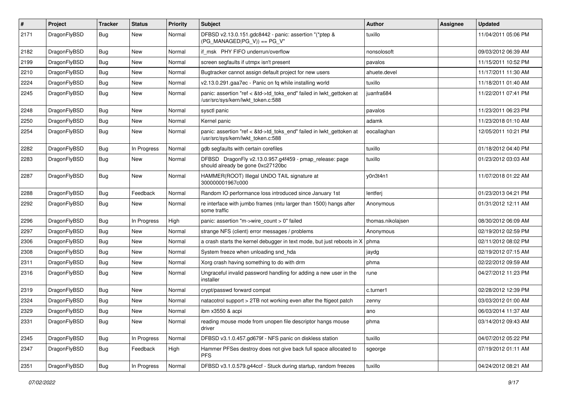| #    | Project      | <b>Tracker</b> | <b>Status</b> | <b>Priority</b> | <b>Subject</b>                                                                                             | Author            | Assignee | <b>Updated</b>      |
|------|--------------|----------------|---------------|-----------------|------------------------------------------------------------------------------------------------------------|-------------------|----------|---------------------|
| 2171 | DragonFlyBSD | Bug            | New           | Normal          | DFBSD v2.13.0.151.gdc8442 - panic: assertion "(*ptep &<br>$(PG_MANAGED PG_V)$ == PG_V"                     | tuxillo           |          | 11/04/2011 05:06 PM |
| 2182 | DragonFlyBSD | <b>Bug</b>     | <b>New</b>    | Normal          | if msk PHY FIFO underrun/overflow                                                                          | nonsolosoft       |          | 09/03/2012 06:39 AM |
| 2199 | DragonFlyBSD | Bug            | <b>New</b>    | Normal          | screen segfaults if utmpx isn't present                                                                    | pavalos           |          | 11/15/2011 10:52 PM |
| 2210 | DragonFlyBSD | <b>Bug</b>     | <b>New</b>    | Normal          | Bugtracker cannot assign default project for new users                                                     | ahuete.devel      |          | 11/17/2011 11:30 AM |
| 2224 | DragonFlyBSD | <b>Bug</b>     | New           | Normal          | v2.13.0.291.gaa7ec - Panic on fq while installing world                                                    | tuxillo           |          | 11/18/2011 01:40 AM |
| 2245 | DragonFlyBSD | Bug            | New           | Normal          | panic: assertion "ref < &td->td_toks_end" failed in lwkt_gettoken at<br>/usr/src/sys/kern/lwkt_token.c:588 | juanfra684        |          | 11/22/2011 07:41 PM |
| 2248 | DragonFlyBSD | Bug            | <b>New</b>    | Normal          | sysctl panic                                                                                               | pavalos           |          | 11/23/2011 06:23 PM |
| 2250 | DragonFlyBSD | Bug            | <b>New</b>    | Normal          | Kernel panic                                                                                               | adamk             |          | 11/23/2018 01:10 AM |
| 2254 | DragonFlyBSD | <b>Bug</b>     | <b>New</b>    | Normal          | panic: assertion "ref < &td->td_toks_end" failed in lwkt_gettoken at<br>/usr/src/sys/kern/lwkt_token.c:588 | eocallaghan       |          | 12/05/2011 10:21 PM |
| 2282 | DragonFlyBSD | Bug            | In Progress   | Normal          | gdb segfaults with certain corefiles                                                                       | tuxillo           |          | 01/18/2012 04:40 PM |
| 2283 | DragonFlyBSD | Bug            | New           | Normal          | DFBSD DragonFly v2.13.0.957.g4f459 - pmap_release: page<br>should already be gone 0xc27120bc               | tuxillo           |          | 01/23/2012 03:03 AM |
| 2287 | DragonFlyBSD | Bug            | New           | Normal          | HAMMER(ROOT) Illegal UNDO TAIL signature at<br>300000001967c000                                            | y0n3t4n1          |          | 11/07/2018 01:22 AM |
| 2288 | DragonFlyBSD | <b>Bug</b>     | Feedback      | Normal          | Random IO performance loss introduced since January 1st                                                    | lentferj          |          | 01/23/2013 04:21 PM |
| 2292 | DragonFlyBSD | <b>Bug</b>     | <b>New</b>    | Normal          | re interface with jumbo frames (mtu larger than 1500) hangs after<br>some traffic                          | Anonymous         |          | 01/31/2012 12:11 AM |
| 2296 | DragonFlyBSD | Bug            | In Progress   | High            | panic: assertion "m->wire count > 0" failed                                                                | thomas.nikolajsen |          | 08/30/2012 06:09 AM |
| 2297 | DragonFlyBSD | <b>Bug</b>     | New           | Normal          | strange NFS (client) error messages / problems                                                             | Anonymous         |          | 02/19/2012 02:59 PM |
| 2306 | DragonFlyBSD | Bug            | <b>New</b>    | Normal          | a crash starts the kernel debugger in text mode, but just reboots in X                                     | phma              |          | 02/11/2012 08:02 PM |
| 2308 | DragonFlyBSD | <b>Bug</b>     | New           | Normal          | System freeze when unloading snd_hda                                                                       | jaydg             |          | 02/19/2012 07:15 AM |
| 2311 | DragonFlyBSD | Bug            | <b>New</b>    | Normal          | Xorg crash having something to do with drm                                                                 | phma              |          | 02/22/2012 09:59 AM |
| 2316 | DragonFlyBSD | Bug            | New           | Normal          | Ungraceful invalid password handling for adding a new user in the<br>installer                             | rune              |          | 04/27/2012 11:23 PM |
| 2319 | DragonFlyBSD | Bug            | <b>New</b>    | Normal          | crypt/passwd forward compat                                                                                | c.turner1         |          | 02/28/2012 12:39 PM |
| 2324 | DragonFlyBSD | Bug            | <b>New</b>    | Normal          | natacotrol support > 2TB not working even after the ftigeot patch                                          | zenny             |          | 03/03/2012 01:00 AM |
| 2329 | DragonFlyBSD | <b>Bug</b>     | New           | Normal          | ibm x3550 & acpi                                                                                           | ano               |          | 06/03/2014 11:37 AM |
| 2331 | DragonFlyBSD | <b>Bug</b>     | New           | Normal          | reading mouse mode from unopen file descriptor hangs mouse<br>driver                                       | phma              |          | 03/14/2012 09:43 AM |
| 2345 | DragonFlyBSD | <b>Bug</b>     | In Progress   | Normal          | DFBSD v3.1.0.457.gd679f - NFS panic on diskless station                                                    | tuxillo           |          | 04/07/2012 05:22 PM |
| 2347 | DragonFlyBSD | Bug            | Feedback      | High            | Hammer PFSes destroy does not give back full space allocated to<br><b>PFS</b>                              | sgeorge           |          | 07/19/2012 01:11 AM |
| 2351 | DragonFlyBSD | Bug            | In Progress   | Normal          | DFBSD v3.1.0.579.g44ccf - Stuck during startup, random freezes                                             | tuxillo           |          | 04/24/2012 08:21 AM |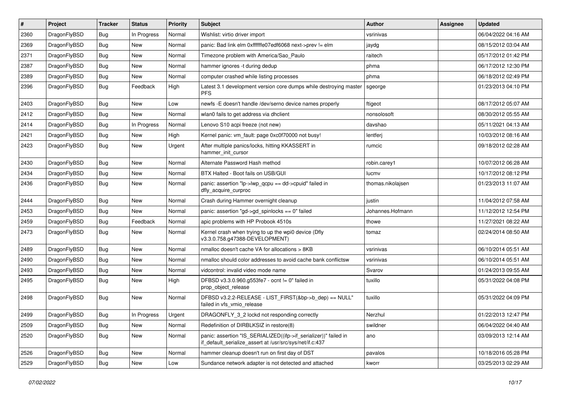| $\pmb{\#}$ | Project      | <b>Tracker</b> | <b>Status</b> | <b>Priority</b> | Subject                                                                                                                      | Author            | Assignee | <b>Updated</b>      |
|------------|--------------|----------------|---------------|-----------------|------------------------------------------------------------------------------------------------------------------------------|-------------------|----------|---------------------|
| 2360       | DragonFlyBSD | Bug            | In Progress   | Normal          | Wishlist: virtio driver import                                                                                               | vsrinivas         |          | 06/04/2022 04:16 AM |
| 2369       | DragonFlyBSD | Bug            | New           | Normal          | panic: Bad link elm 0xffffffe07edf6068 next->prev != elm                                                                     | jaydg             |          | 08/15/2012 03:04 AM |
| 2371       | DragonFlyBSD | <b>Bug</b>     | New           | Normal          | Timezone problem with America/Sao_Paulo                                                                                      | raitech           |          | 05/17/2012 01:42 PM |
| 2387       | DragonFlyBSD | Bug            | <b>New</b>    | Normal          | hammer ignores -t during dedup                                                                                               | phma              |          | 06/17/2012 12:30 PM |
| 2389       | DragonFlyBSD | <b>Bug</b>     | New           | Normal          | computer crashed while listing processes                                                                                     | phma              |          | 06/18/2012 02:49 PM |
| 2396       | DragonFlyBSD | Bug            | Feedback      | High            | Latest 3.1 development version core dumps while destroying master<br><b>PFS</b>                                              | sgeorge           |          | 01/23/2013 04:10 PM |
| 2403       | DragonFlyBSD | Bug            | New           | Low             | newfs -E doesn't handle /dev/serno device names properly                                                                     | ftigeot           |          | 08/17/2012 05:07 AM |
| 2412       | DragonFlyBSD | Bug            | New           | Normal          | wlan0 fails to get address via dhclient                                                                                      | nonsolosoft       |          | 08/30/2012 05:55 AM |
| 2414       | DragonFlyBSD | Bug            | In Progress   | Normal          | Lenovo S10 acpi freeze (not new)                                                                                             | davshao           |          | 05/11/2021 04:13 AM |
| 2421       | DragonFlyBSD | <b>Bug</b>     | New           | High            | Kernel panic: vm_fault: page 0xc0f70000 not busy!                                                                            | lentferj          |          | 10/03/2012 08:16 AM |
| 2423       | DragonFlyBSD | Bug            | <b>New</b>    | Urgent          | After multiple panics/locks, hitting KKASSERT in<br>hammer init cursor                                                       | rumcic            |          | 09/18/2012 02:28 AM |
| 2430       | DragonFlyBSD | Bug            | <b>New</b>    | Normal          | Alternate Password Hash method                                                                                               | robin.carey1      |          | 10/07/2012 06:28 AM |
| 2434       | DragonFlyBSD | <b>Bug</b>     | New           | Normal          | BTX Halted - Boot fails on USB/GUI                                                                                           | lucmv             |          | 10/17/2012 08:12 PM |
| 2436       | DragonFlyBSD | Bug            | New           | Normal          | panic: assertion "lp->lwp_qcpu == dd->cpuid" failed in<br>dfly_acquire_curproc                                               | thomas.nikolajsen |          | 01/23/2013 11:07 AM |
| 2444       | DragonFlyBSD | Bug            | <b>New</b>    | Normal          | Crash during Hammer overnight cleanup                                                                                        | justin            |          | 11/04/2012 07:58 AM |
| 2453       | DragonFlyBSD | <b>Bug</b>     | New           | Normal          | panic: assertion "gd->gd spinlocks == $0$ " failed                                                                           | Johannes.Hofmann  |          | 11/12/2012 12:54 PM |
| 2459       | DragonFlyBSD | Bug            | Feedback      | Normal          | apic problems with HP Probook 4510s                                                                                          | thowe             |          | 11/27/2021 08:22 AM |
| 2473       | DragonFlyBSD | Bug            | New           | Normal          | Kernel crash when trying to up the wpi0 device (Dfly<br>v3.3.0.758.g47388-DEVELOPMENT)                                       | tomaz             |          | 02/24/2014 08:50 AM |
| 2489       | DragonFlyBSD | <b>Bug</b>     | <b>New</b>    | Normal          | nmalloc doesn't cache VA for allocations > 8KB                                                                               | vsrinivas         |          | 06/10/2014 05:51 AM |
| 2490       | DragonFlyBSD | <b>Bug</b>     | New           | Normal          | nmalloc should color addresses to avoid cache bank conflictsw                                                                | vsrinivas         |          | 06/10/2014 05:51 AM |
| 2493       | DragonFlyBSD | Bug            | <b>New</b>    | Normal          | vidcontrol: invalid video mode name                                                                                          | Svarov            |          | 01/24/2013 09:55 AM |
| 2495       | DragonFlyBSD | Bug            | New           | High            | DFBSD v3.3.0.960.g553fe7 - ocnt != 0" failed in<br>prop_object_release                                                       | tuxillo           |          | 05/31/2022 04:08 PM |
| 2498       | DragonFlyBSD | Bug            | New           | Normal          | DFBSD v3.2.2-RELEASE - LIST_FIRST(&bp->b_dep) == NULL"<br>failed in vfs_vmio_release                                         | tuxillo           |          | 05/31/2022 04:09 PM |
| 2499       | DragonFlyBSD | Bug            | In Progress   | Urgent          | DRAGONFLY 3 2 lockd not responding correctly                                                                                 | Nerzhul           |          | 01/22/2013 12:47 PM |
| 2509       | DragonFlyBSD | <b>Bug</b>     | New           | Normal          | Redefinition of DIRBLKSIZ in restore(8)                                                                                      | swildner          |          | 06/04/2022 04:40 AM |
| 2520       | DragonFlyBSD | <b>Bug</b>     | New           | Normal          | panic: assertion "IS_SERIALIZED((ifp->if_serializer))" failed in<br>if_default_serialize_assert at /usr/src/sys/net/if.c:437 | ano               |          | 03/09/2013 12:14 AM |
| 2526       | DragonFlyBSD | <b>Bug</b>     | New           | Normal          | hammer cleanup doesn't run on first day of DST                                                                               | pavalos           |          | 10/18/2016 05:28 PM |
| 2529       | DragonFlyBSD | <b>Bug</b>     | New           | Low             | Sundance network adapter is not detected and attached                                                                        | kworr             |          | 03/25/2013 02:29 AM |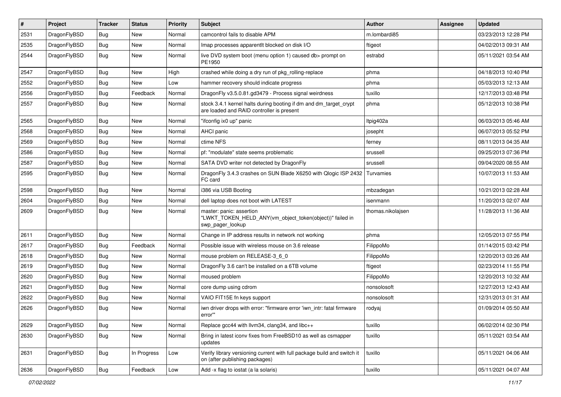| $\sharp$ | Project      | <b>Tracker</b> | <b>Status</b> | <b>Priority</b> | Subject                                                                                                        | <b>Author</b>     | Assignee | <b>Updated</b>      |
|----------|--------------|----------------|---------------|-----------------|----------------------------------------------------------------------------------------------------------------|-------------------|----------|---------------------|
| 2531     | DragonFlyBSD | <b>Bug</b>     | New           | Normal          | camcontrol fails to disable APM                                                                                | m.lombardi85      |          | 03/23/2013 12:28 PM |
| 2535     | DragonFlyBSD | Bug            | New           | Normal          | Imap processes apparentlt blocked on disk I/O                                                                  | ftigeot           |          | 04/02/2013 09:31 AM |
| 2544     | DragonFlyBSD | <b>Bug</b>     | <b>New</b>    | Normal          | live DVD system boot (menu option 1) caused db> prompt on<br>PE1950                                            | estrabd           |          | 05/11/2021 03:54 AM |
| 2547     | DragonFlyBSD | Bug            | <b>New</b>    | High            | crashed while doing a dry run of pkg_rolling-replace                                                           | phma              |          | 04/18/2013 10:40 PM |
| 2552     | DragonFlyBSD | <b>Bug</b>     | New           | Low             | hammer recovery should indicate progress                                                                       | phma              |          | 05/03/2013 12:13 AM |
| 2556     | DragonFlyBSD | Bug            | Feedback      | Normal          | DragonFly v3.5.0.81.gd3479 - Process signal weirdness                                                          | tuxillo           |          | 12/17/2013 03:48 PM |
| 2557     | DragonFlyBSD | Bug            | <b>New</b>    | Normal          | stock 3.4.1 kernel halts during booting if dm and dm_target_crypt<br>are loaded and RAID controller is present | phma              |          | 05/12/2013 10:38 PM |
| 2565     | DragonFlyBSD | Bug            | New           | Normal          | "ifconfig ix0 up" panic                                                                                        | Itpig402a         |          | 06/03/2013 05:46 AM |
| 2568     | DragonFlyBSD | <b>Bug</b>     | <b>New</b>    | Normal          | AHCI panic                                                                                                     | josepht           |          | 06/07/2013 05:52 PM |
| 2569     | DragonFlyBSD | <b>Bug</b>     | <b>New</b>    | Normal          | ctime NFS                                                                                                      | ferney            |          | 08/11/2013 04:35 AM |
| 2586     | DragonFlyBSD | Bug            | <b>New</b>    | Normal          | pf: "modulate" state seems problematic                                                                         | srussell          |          | 09/25/2013 07:36 PM |
| 2587     | DragonFlyBSD | <b>Bug</b>     | New           | Normal          | SATA DVD writer not detected by DragonFly                                                                      | srussell          |          | 09/04/2020 08:55 AM |
| 2595     | DragonFlyBSD | Bug            | New           | Normal          | DragonFly 3.4.3 crashes on SUN Blade X6250 with Qlogic ISP 2432<br>FC card                                     | Turvamies         |          | 10/07/2013 11:53 AM |
| 2598     | DragonFlyBSD | Bug            | <b>New</b>    | Normal          | i386 via USB Booting                                                                                           | mbzadegan         |          | 10/21/2013 02:28 AM |
| 2604     | DragonFlyBSD | Bug            | <b>New</b>    | Normal          | dell laptop does not boot with LATEST                                                                          | isenmann          |          | 11/20/2013 02:07 AM |
| 2609     | DragonFlyBSD | Bug            | <b>New</b>    | Normal          | master: panic: assertion<br>"LWKT_TOKEN_HELD_ANY(vm_object_token(object))" failed in<br>swp_pager_lookup       | thomas.nikolajsen |          | 11/28/2013 11:36 AM |
| 2611     | DragonFlyBSD | Bug            | New           | Normal          | Change in IP address results in network not working                                                            | phma              |          | 12/05/2013 07:55 PM |
| 2617     | DragonFlyBSD | Bug            | Feedback      | Normal          | Possible issue with wireless mouse on 3.6 release                                                              | FilippoMo         |          | 01/14/2015 03:42 PM |
| 2618     | DragonFlyBSD | <b>Bug</b>     | New           | Normal          | mouse problem on RELEASE-3 6 0                                                                                 | FilippoMo         |          | 12/20/2013 03:26 AM |
| 2619     | DragonFlyBSD | Bug            | <b>New</b>    | Normal          | DragonFly 3.6 can't be installed on a 6TB volume                                                               | ftigeot           |          | 02/23/2014 11:55 PM |
| 2620     | DragonFlyBSD | Bug            | <b>New</b>    | Normal          | moused problem                                                                                                 | FilippoMo         |          | 12/20/2013 10:32 AM |
| 2621     | DragonFlyBSD | <b>Bug</b>     | New           | Normal          | core dump using cdrom                                                                                          | nonsolosoft       |          | 12/27/2013 12:43 AM |
| 2622     | DragonFlyBSD | <b>Bug</b>     | <b>New</b>    | Normal          | VAIO FIT15E fn keys support                                                                                    | nonsolosoft       |          | 12/31/2013 01:31 AM |
| 2626     | DragonFlyBSD | Bug            | New           | Normal          | iwn driver drops with error: "firmware error 'iwn_intr: fatal firmware<br>error""                              | rodyaj            |          | 01/09/2014 05:50 AM |
| 2629     | DragonFlyBSD | <b>Bug</b>     | New           | Normal          | Replace gcc44 with llvm34, clang34, and libc++                                                                 | tuxillo           |          | 06/02/2014 02:30 PM |
| 2630     | DragonFlyBSD | <b>Bug</b>     | New           | Normal          | Bring in latest iconv fixes from FreeBSD10 as well as csmapper<br>updates                                      | tuxillo           |          | 05/11/2021 03:54 AM |
| 2631     | DragonFlyBSD | Bug            | In Progress   | Low             | Verify library versioning current with full package build and switch it<br>on (after publishing packages)      | tuxillo           |          | 05/11/2021 04:06 AM |
| 2636     | DragonFlyBSD | Bug            | Feedback      | Low             | Add -x flag to iostat (a la solaris)                                                                           | tuxillo           |          | 05/11/2021 04:07 AM |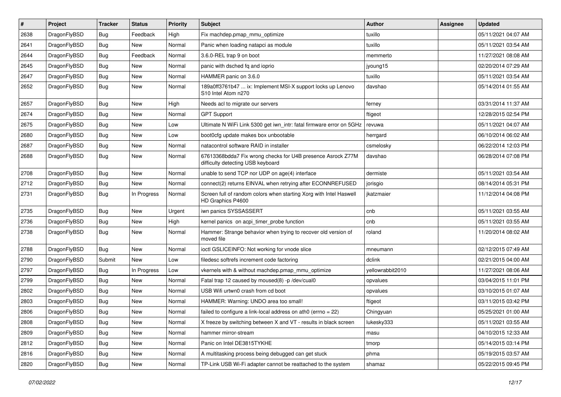| #    | Project      | <b>Tracker</b> | <b>Status</b> | <b>Priority</b> | Subject                                                                                          | Author           | Assignee | <b>Updated</b>      |
|------|--------------|----------------|---------------|-----------------|--------------------------------------------------------------------------------------------------|------------------|----------|---------------------|
| 2638 | DragonFlyBSD | Bug            | Feedback      | High            | Fix machdep.pmap_mmu_optimize                                                                    | tuxillo          |          | 05/11/2021 04:07 AM |
| 2641 | DragonFlyBSD | Bug            | New           | Normal          | Panic when loading natapci as module                                                             | tuxillo          |          | 05/11/2021 03:54 AM |
| 2644 | DragonFlyBSD | <b>Bug</b>     | Feedback      | Normal          | 3.6.0-REL trap 9 on boot                                                                         | memmerto         |          | 11/27/2021 08:08 AM |
| 2645 | DragonFlyBSD | Bug            | <b>New</b>    | Normal          | panic with dsched fq and ioprio                                                                  | jyoung15         |          | 02/20/2014 07:29 AM |
| 2647 | DragonFlyBSD | <b>Bug</b>     | New           | Normal          | HAMMER panic on 3.6.0                                                                            | tuxillo          |          | 05/11/2021 03:54 AM |
| 2652 | DragonFlyBSD | Bug            | New           | Normal          | 189a0ff3761b47  ix: Implement MSI-X support locks up Lenovo<br>S10 Intel Atom n270               | davshao          |          | 05/14/2014 01:55 AM |
| 2657 | DragonFlyBSD | Bug            | <b>New</b>    | High            | Needs acl to migrate our servers                                                                 | ferney           |          | 03/31/2014 11:37 AM |
| 2674 | DragonFlyBSD | Bug            | <b>New</b>    | Normal          | <b>GPT Support</b>                                                                               | ftigeot          |          | 12/28/2015 02:54 PM |
| 2675 | DragonFlyBSD | Bug            | <b>New</b>    | Low             | Ultimate N WiFi Link 5300 get iwn intr: fatal firmware error on 5GHz                             | revuwa           |          | 05/11/2021 04:07 AM |
| 2680 | DragonFlyBSD | <b>Bug</b>     | New           | Low             | boot0cfg update makes box unbootable                                                             | herrgard         |          | 06/10/2014 06:02 AM |
| 2687 | DragonFlyBSD | Bug            | <b>New</b>    | Normal          | natacontrol software RAID in installer                                                           | csmelosky        |          | 06/22/2014 12:03 PM |
| 2688 | DragonFlyBSD | Bug            | New           | Normal          | 67613368bdda7 Fix wrong checks for U4B presence Asrock Z77M<br>difficulty detecting USB keyboard | davshao          |          | 06/28/2014 07:08 PM |
| 2708 | DragonFlyBSD | Bug            | New           | Normal          | unable to send TCP nor UDP on age(4) interface                                                   | dermiste         |          | 05/11/2021 03:54 AM |
| 2712 | DragonFlyBSD | <b>Bug</b>     | New           | Normal          | connect(2) returns EINVAL when retrying after ECONNREFUSED                                       | jorisgio         |          | 08/14/2014 05:31 PM |
| 2731 | DragonFlyBSD | Bug            | In Progress   | Normal          | Screen full of random colors when starting Xorg with Intel Haswell<br>HD Graphics P4600          | jkatzmaier       |          | 11/12/2014 04:08 PM |
| 2735 | DragonFlyBSD | <b>Bug</b>     | New           | Urgent          | iwn panics SYSSASSERT                                                                            | cnb              |          | 05/11/2021 03:55 AM |
| 2736 | DragonFlyBSD | Bug            | <b>New</b>    | High            | kernel panics on acpi_timer_probe function                                                       | cnb              |          | 05/11/2021 03:55 AM |
| 2738 | DragonFlyBSD | <b>Bug</b>     | New           | Normal          | Hammer: Strange behavior when trying to recover old version of<br>moved file                     | roland           |          | 11/20/2014 08:02 AM |
| 2788 | DragonFlyBSD | <b>Bug</b>     | <b>New</b>    | Normal          | ioctl GSLICEINFO: Not working for vnode slice                                                    | mneumann         |          | 02/12/2015 07:49 AM |
| 2790 | DragonFlyBSD | Submit         | New           | Low             | filedesc softrefs increment code factoring                                                       | dclink           |          | 02/21/2015 04:00 AM |
| 2797 | DragonFlyBSD | Bug            | In Progress   | Low             | vkernels with & without machdep.pmap_mmu_optimize                                                | yellowrabbit2010 |          | 11/27/2021 08:06 AM |
| 2799 | DragonFlyBSD | Bug            | New           | Normal          | Fatal trap 12 caused by moused(8) -p /dev/cual0                                                  | opvalues         |          | 03/04/2015 11:01 PM |
| 2802 | DragonFlyBSD | <b>Bug</b>     | New           | Normal          | USB Wifi urtwn0 crash from cd boot                                                               | opvalues         |          | 03/10/2015 01:07 AM |
| 2803 | DragonFlyBSD | Bug            | <b>New</b>    | Normal          | HAMMER: Warning: UNDO area too small!                                                            | ftigeot          |          | 03/11/2015 03:42 PM |
| 2806 | DragonFlyBSD | <b>Bug</b>     | New           | Normal          | failed to configure a link-local address on ath $0$ (errno = 22)                                 | Chingyuan        |          | 05/25/2021 01:00 AM |
| 2808 | DragonFlyBSD | <b>Bug</b>     | New           | Normal          | X freeze by switching between X and VT - results in black screen                                 | lukesky333       |          | 05/11/2021 03:55 AM |
| 2809 | DragonFlyBSD | <b>Bug</b>     | New           | Normal          | hammer mirror-stream                                                                             | masu             |          | 04/10/2015 12:33 AM |
| 2812 | DragonFlyBSD | <b>Bug</b>     | New           | Normal          | Panic on Intel DE3815TYKHE                                                                       | tmorp            |          | 05/14/2015 03:14 PM |
| 2816 | DragonFlyBSD | <b>Bug</b>     | New           | Normal          | A multitasking process being debugged can get stuck                                              | phma             |          | 05/19/2015 03:57 AM |
| 2820 | DragonFlyBSD | <b>Bug</b>     | New           | Normal          | TP-Link USB Wi-Fi adapter cannot be reattached to the system                                     | shamaz           |          | 05/22/2015 09:45 PM |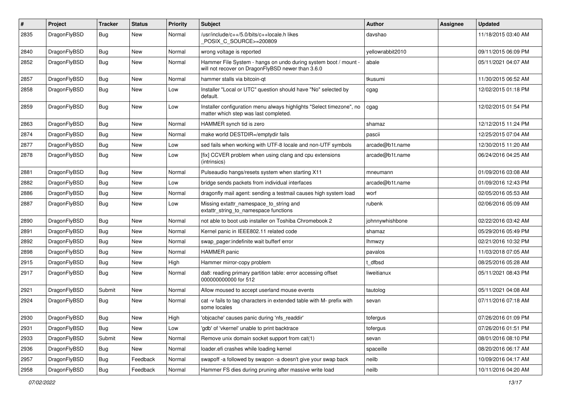| $\pmb{\#}$ | Project      | <b>Tracker</b> | <b>Status</b> | <b>Priority</b> | Subject                                                                                                              | <b>Author</b>    | <b>Assignee</b> | <b>Updated</b>      |
|------------|--------------|----------------|---------------|-----------------|----------------------------------------------------------------------------------------------------------------------|------------------|-----------------|---------------------|
| 2835       | DragonFlyBSD | Bug            | New           | Normal          | /usr/include/c++/5.0/bits/c++locale.h likes<br>POSIX_C_SOURCE>=200809                                                | davshao          |                 | 11/18/2015 03:40 AM |
| 2840       | DragonFlyBSD | <b>Bug</b>     | <b>New</b>    | Normal          | wrong voltage is reported                                                                                            | yellowrabbit2010 |                 | 09/11/2015 06:09 PM |
| 2852       | DragonFlyBSD | Bug            | New           | Normal          | Hammer File System - hangs on undo during system boot / mount -<br>will not recover on DragonFlyBSD newer than 3.6.0 | abale            |                 | 05/11/2021 04:07 AM |
| 2857       | DragonFlyBSD | <b>Bug</b>     | <b>New</b>    | Normal          | hammer stalls via bitcoin-gt                                                                                         | tkusumi          |                 | 11/30/2015 06:52 AM |
| 2858       | DragonFlyBSD | Bug            | New           | Low             | Installer "Local or UTC" question should have "No" selected by<br>default.                                           | cgag             |                 | 12/02/2015 01:18 PM |
| 2859       | DragonFlyBSD | Bug            | New           | Low             | Installer configuration menu always highlights "Select timezone", no<br>matter which step was last completed.        | cgag             |                 | 12/02/2015 01:54 PM |
| 2863       | DragonFlyBSD | <b>Bug</b>     | <b>New</b>    | Normal          | HAMMER synch tid is zero                                                                                             | shamaz           |                 | 12/12/2015 11:24 PM |
| 2874       | DragonFlyBSD | Bug            | New           | Normal          | make world DESTDIR=/emptydir fails                                                                                   | pascii           |                 | 12/25/2015 07:04 AM |
| 2877       | DragonFlyBSD | Bug            | <b>New</b>    | Low             | sed fails when working with UTF-8 locale and non-UTF symbols                                                         | arcade@b1t.name  |                 | 12/30/2015 11:20 AM |
| 2878       | DragonFlyBSD | Bug            | New           | Low             | [fix] CCVER problem when using clang and cpu extensions<br>(intrinsics)                                              | arcade@b1t.name  |                 | 06/24/2016 04:25 AM |
| 2881       | DragonFlyBSD | <b>Bug</b>     | <b>New</b>    | Normal          | Pulseaudio hangs/resets system when starting X11                                                                     | mneumann         |                 | 01/09/2016 03:08 AM |
| 2882       | DragonFlyBSD | Bug            | <b>New</b>    | Low             | bridge sends packets from individual interfaces                                                                      | arcade@b1t.name  |                 | 01/09/2016 12:43 PM |
| 2886       | DragonFlyBSD | Bug            | New           | Normal          | dragonfly mail agent: sending a testmail causes high system load                                                     | worf             |                 | 02/05/2016 05:53 AM |
| 2887       | DragonFlyBSD | Bug            | <b>New</b>    | Low             | Missing extattr_namespace_to_string and<br>extattr_string_to_namespace functions                                     | rubenk           |                 | 02/06/2016 05:09 AM |
| 2890       | DragonFlyBSD | Bug            | <b>New</b>    | Normal          | not able to boot usb installer on Toshiba Chromebook 2                                                               | johnnywhishbone  |                 | 02/22/2016 03:42 AM |
| 2891       | DragonFlyBSD | Bug            | New           | Normal          | Kernel panic in IEEE802.11 related code                                                                              | shamaz           |                 | 05/29/2016 05:49 PM |
| 2892       | DragonFlyBSD | Bug            | New           | Normal          | swap_pager:indefinite wait bufferf error                                                                             | lhmwzy           |                 | 02/21/2016 10:32 PM |
| 2898       | DragonFlyBSD | Bug            | New           | Normal          | <b>HAMMER</b> panic                                                                                                  | pavalos          |                 | 11/03/2018 07:05 AM |
| 2915       | DragonFlyBSD | Bug            | <b>New</b>    | High            | Hammer mirror-copy problem                                                                                           | dfbsd            |                 | 08/25/2016 05:28 AM |
| 2917       | DragonFlyBSD | Bug            | New           | Normal          | da8: reading primary partition table: error accessing offset<br>000000000000 for 512                                 | liweitianux      |                 | 05/11/2021 08:43 PM |
| 2921       | DragonFlyBSD | Submit         | New           | Normal          | Allow moused to accept userland mouse events                                                                         | tautolog         |                 | 05/11/2021 04:08 AM |
| 2924       | DragonFlyBSD | <b>Bug</b>     | New           | Normal          | cat -v fails to tag characters in extended table with M- prefix with<br>some locales                                 | sevan            |                 | 07/11/2016 07:18 AM |
| 2930       | DragonFlyBSD | <b>Bug</b>     | New           | High            | 'objcache' causes panic during 'nfs_readdir'                                                                         | tofergus         |                 | 07/26/2016 01:09 PM |
| 2931       | DragonFlyBSD | <b>Bug</b>     | New           | Low             | 'gdb' of 'vkernel' unable to print backtrace                                                                         | tofergus         |                 | 07/26/2016 01:51 PM |
| 2933       | DragonFlyBSD | Submit         | New           | Normal          | Remove unix domain socket support from cat(1)                                                                        | sevan            |                 | 08/01/2016 08:10 PM |
| 2936       | DragonFlyBSD | Bug            | New           | Normal          | loader.efi crashes while loading kernel                                                                              | spaceille        |                 | 08/20/2016 06:17 AM |
| 2957       | DragonFlyBSD | Bug            | Feedback      | Normal          | swapoff -a followed by swapon -a doesn't give your swap back                                                         | neilb            |                 | 10/09/2016 04:17 AM |
| 2958       | DragonFlyBSD | Bug            | Feedback      | Normal          | Hammer FS dies during pruning after massive write load                                                               | neilb            |                 | 10/11/2016 04:20 AM |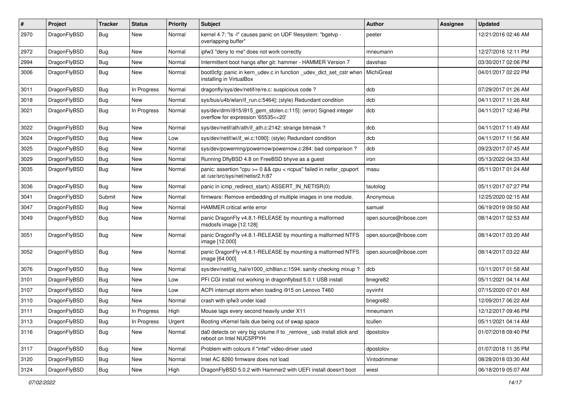| #    | Project      | <b>Tracker</b> | <b>Status</b> | <b>Priority</b> | Subject                                                                                                 | <b>Author</b>          | Assignee | <b>Updated</b>      |
|------|--------------|----------------|---------------|-----------------|---------------------------------------------------------------------------------------------------------|------------------------|----------|---------------------|
| 2970 | DragonFlyBSD | Bug            | <b>New</b>    | Normal          | kernel 4.7: "Is -I" causes panic on UDF filesystem: "bgetvp -<br>overlapping buffer"                    | peeter                 |          | 12/21/2016 02:46 AM |
| 2972 | DragonFlyBSD | <b>Bug</b>     | <b>New</b>    | Normal          | ipfw3 "deny to me" does not work correctly                                                              | mneumann               |          | 12/27/2016 12:11 PM |
| 2994 | DragonFlyBSD | <b>Bug</b>     | New           | Normal          | Intermittent boot hangs after git: hammer - HAMMER Version 7                                            | davshao                |          | 03/30/2017 02:06 PM |
| 3006 | DragonFlyBSD | Bug            | <b>New</b>    | Normal          | boot0cfg: panic in kern_udev.c in function _udev_dict_set_cstr when<br>installing in VirtualBox         | MichiGreat             |          | 04/01/2017 02:22 PM |
| 3011 | DragonFlyBSD | <b>Bug</b>     | In Progress   | Normal          | dragonfly/sys/dev/netif/re/re.c: suspicious code?                                                       | dcb                    |          | 07/29/2017 01:26 AM |
| 3018 | DragonFlyBSD | <b>Bug</b>     | New           | Normal          | sys/bus/u4b/wlan/if_run.c:5464]: (style) Redundant condition                                            | dcb                    |          | 04/11/2017 11:26 AM |
| 3021 | DragonFlyBSD | <b>Bug</b>     | In Progress   | Normal          | sys/dev/drm/i915/i915_gem_stolen.c:115]: (error) Signed integer<br>overflow for expression '65535<<20'  | dcb                    |          | 04/11/2017 12:46 PM |
| 3022 | DragonFlyBSD | <b>Bug</b>     | <b>New</b>    | Normal          | sys/dev/netif/ath/ath/if ath.c:2142: strange bitmask?                                                   | dcb                    |          | 04/11/2017 11:49 AM |
| 3024 | DragonFlyBSD | <b>Bug</b>     | New           | Low             | sys/dev/netif/wi/if wi.c:1090]: (style) Redundant condition                                             | dcb                    |          | 04/11/2017 11:56 AM |
| 3025 | DragonFlyBSD | <b>Bug</b>     | <b>New</b>    | Normal          | sys/dev/powermng/powernow/powernow.c:284: bad comparison?                                               | dcb                    |          | 09/23/2017 07:45 AM |
| 3029 | DragonFlyBSD | <b>Bug</b>     | <b>New</b>    | Normal          | Running DflyBSD 4.8 on FreeBSD bhyve as a guest                                                         | iron                   |          | 05/13/2022 04:33 AM |
| 3035 | DragonFlyBSD | Bug            | <b>New</b>    | Normal          | panic: assertion "cpu >= 0 && cpu < ncpus" failed in netisr_cpuport<br>at /usr/src/sys/net/netisr2.h:87 | masu                   |          | 05/11/2017 01:24 AM |
| 3036 | DragonFlyBSD | Bug            | <b>New</b>    | Normal          | panic in icmp_redirect_start() ASSERT_IN_NETISR(0)                                                      | tautolog               |          | 05/11/2017 07:27 PM |
| 3041 | DragonFlyBSD | Submit         | <b>New</b>    | Normal          | firmware: Remove embedding of multiple images in one module.                                            | Anonymous              |          | 12/25/2020 02:15 AM |
| 3047 | DragonFlyBSD | Bug            | New           | Normal          | HAMMER critical write error                                                                             | samuel                 |          | 06/19/2019 09:50 AM |
| 3049 | DragonFlyBSD | Bug            | New           | Normal          | panic DragonFly v4.8.1-RELEASE by mounting a malformed<br>msdosfs image [12.128]                        | open.source@ribose.com |          | 08/14/2017 02:53 AM |
| 3051 | DragonFlyBSD | Bug            | <b>New</b>    | Normal          | panic DragonFly v4.8.1-RELEASE by mounting a malformed NTFS<br>image [12.000]                           | open.source@ribose.com |          | 08/14/2017 03:20 AM |
| 3052 | DragonFlyBSD | Bug            | <b>New</b>    | Normal          | panic DragonFly v4.8.1-RELEASE by mounting a malformed NTFS<br>image [64.000]                           | open.source@ribose.com |          | 08/14/2017 03:22 AM |
| 3076 | DragonFlyBSD | Bug            | <b>New</b>    | Normal          | sys/dev/netif/ig_hal/e1000_ich8lan.c:1594: sanity checking mixup?                                       | dcb                    |          | 10/11/2017 01:58 AM |
| 3101 | DragonFlyBSD | <b>Bug</b>     | New           | Low             | PFI CGI install not working in dragonflybsd 5.0.1 USB install                                           | bnegre82               |          | 05/11/2021 04:14 AM |
| 3107 | DragonFlyBSD | <b>Bug</b>     | New           | Low             | ACPI interrupt storm when loading i915 on Lenovo T460                                                   | oyvinht                |          | 07/15/2020 07:01 AM |
| 3110 | DragonFlyBSD | <b>Bug</b>     | <b>New</b>    | Normal          | crash with ipfw3 under load                                                                             | bnegre82               |          | 12/09/2017 06:22 AM |
| 3111 | DragonFlyBSD | Bug            | In Progress   | High            | Mouse lags every second heavily under X11                                                               | mneumann               |          | 12/12/2017 09:46 PM |
| 3113 | DragonFlyBSD | Bug            | In Progress   | Urgent          | Booting vKernel fails due being out of swap space                                                       | tcullen                |          | 05/11/2021 04:14 AM |
| 3116 | DragonFlyBSD | <b>Bug</b>     | New           | Normal          | da0 detects on very big volume if to _remove_ usb install stick and<br>reboot on Intel NUC5PPYH         | dpostolov              |          | 01/07/2018 09:40 PM |
| 3117 | DragonFlyBSD | <b>Bug</b>     | New           | Normal          | Problem with colours if "intel" video-driver used                                                       | dpostolov              |          | 01/07/2018 11:35 PM |
| 3120 | DragonFlyBSD | <b>Bug</b>     | New           | Normal          | Intel AC 8260 firmware does not load                                                                    | Vintodrimmer           |          | 08/28/2018 03:30 AM |
| 3124 | DragonFlyBSD | <b>Bug</b>     | New           | High            | DragonFlyBSD 5.0.2 with Hammer2 with UEFI install doesn't boot                                          | wiesl                  |          | 06/18/2019 05:07 AM |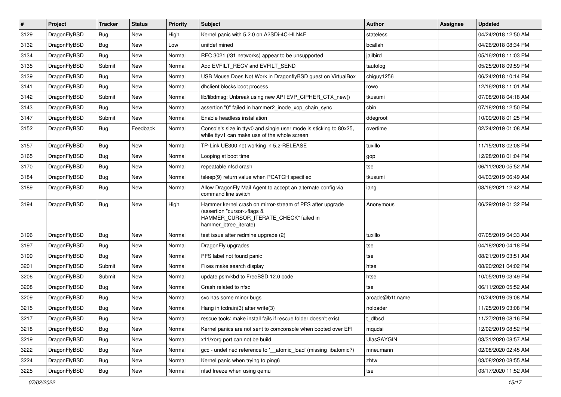| $\sharp$ | Project      | <b>Tracker</b> | <b>Status</b> | <b>Priority</b> | Subject                                                                                                                                                     | <b>Author</b>   | Assignee | <b>Updated</b>      |
|----------|--------------|----------------|---------------|-----------------|-------------------------------------------------------------------------------------------------------------------------------------------------------------|-----------------|----------|---------------------|
| 3129     | DragonFlyBSD | Bug            | New           | High            | Kernel panic with 5.2.0 on A2SDi-4C-HLN4F                                                                                                                   | stateless       |          | 04/24/2018 12:50 AM |
| 3132     | DragonFlyBSD | Bug            | <b>New</b>    | Low             | unifdef mined                                                                                                                                               | bcallah         |          | 04/26/2018 08:34 PM |
| 3134     | DragonFlyBSD | Bug            | New           | Normal          | RFC 3021 (/31 networks) appear to be unsupported                                                                                                            | jailbird        |          | 05/16/2018 11:03 PM |
| 3135     | DragonFlyBSD | Submit         | New           | Normal          | Add EVFILT RECV and EVFILT SEND                                                                                                                             | tautolog        |          | 05/25/2018 09:59 PM |
| 3139     | DragonFlyBSD | Bug            | <b>New</b>    | Normal          | USB Mouse Does Not Work in DragonflyBSD guest on VirtualBox                                                                                                 | chiguy1256      |          | 06/24/2018 10:14 PM |
| 3141     | DragonFlyBSD | Bug            | <b>New</b>    | Normal          | dhclient blocks boot process                                                                                                                                | rowo            |          | 12/16/2018 11:01 AM |
| 3142     | DragonFlyBSD | Submit         | New           | Normal          | lib/libdmsg: Unbreak using new API EVP CIPHER CTX new()                                                                                                     | tkusumi         |          | 07/08/2018 04:18 AM |
| 3143     | DragonFlyBSD | Bug            | New           | Normal          | assertion "0" failed in hammer2_inode_xop_chain_sync                                                                                                        | cbin            |          | 07/18/2018 12:50 PM |
| 3147     | DragonFlyBSD | Submit         | New           | Normal          | Enable headless installation                                                                                                                                | ddegroot        |          | 10/09/2018 01:25 PM |
| 3152     | DragonFlyBSD | <b>Bug</b>     | Feedback      | Normal          | Console's size in ttyv0 and single user mode is sticking to 80x25,<br>while ttyv1 can make use of the whole screen                                          | overtime        |          | 02/24/2019 01:08 AM |
| 3157     | DragonFlyBSD | Bug            | New           | Normal          | TP-Link UE300 not working in 5.2-RELEASE                                                                                                                    | tuxillo         |          | 11/15/2018 02:08 PM |
| 3165     | DragonFlyBSD | Bug            | <b>New</b>    | Normal          | Looping at boot time                                                                                                                                        | gop             |          | 12/28/2018 01:04 PM |
| 3170     | DragonFlyBSD | <b>Bug</b>     | New           | Normal          | repeatable nfsd crash                                                                                                                                       | tse             |          | 06/11/2020 05:52 AM |
| 3184     | DragonFlyBSD | Bug            | New           | Normal          | tsleep(9) return value when PCATCH specified                                                                                                                | tkusumi         |          | 04/03/2019 06:49 AM |
| 3189     | DragonFlyBSD | Bug            | <b>New</b>    | Normal          | Allow DragonFly Mail Agent to accept an alternate config via<br>command line switch                                                                         | iang            |          | 08/16/2021 12:42 AM |
| 3194     | DragonFlyBSD | <b>Bug</b>     | New           | High            | Hammer kernel crash on mirror-stream of PFS after upgrade<br>(assertion "cursor->flags &<br>HAMMER_CURSOR_ITERATE_CHECK" failed in<br>hammer_btree_iterate) | Anonymous       |          | 06/29/2019 01:32 PM |
| 3196     | DragonFlyBSD | Bug            | New           | Normal          | test issue after redmine upgrade (2)                                                                                                                        | tuxillo         |          | 07/05/2019 04:33 AM |
| 3197     | DragonFlyBSD | Bug            | New           | Normal          | DragonFly upgrades                                                                                                                                          | tse             |          | 04/18/2020 04:18 PM |
| 3199     | DragonFlyBSD | Bug            | New           | Normal          | PFS label not found panic                                                                                                                                   | tse             |          | 08/21/2019 03:51 AM |
| 3201     | DragonFlyBSD | Submit         | <b>New</b>    | Normal          | Fixes make search display                                                                                                                                   | htse            |          | 08/20/2021 04:02 PM |
| 3206     | DragonFlyBSD | Submit         | New           | Normal          | update psm/kbd to FreeBSD 12.0 code                                                                                                                         | htse            |          | 10/05/2019 03:49 PM |
| 3208     | DragonFlyBSD | Bug            | New           | Normal          | Crash related to nfsd                                                                                                                                       | tse             |          | 06/11/2020 05:52 AM |
| 3209     | DragonFlyBSD | Bug            | New           | Normal          | svc has some minor bugs                                                                                                                                     | arcade@b1t.name |          | 10/24/2019 09:08 AM |
| 3215     | DragonFlyBSD | Bug            | <b>New</b>    | Normal          | Hang in tcdrain(3) after write(3)                                                                                                                           | noloader        |          | 11/25/2019 03:08 PM |
| 3217     | DragonFlyBSD | <b>Bug</b>     | <b>New</b>    | Normal          | rescue tools: make install fails if rescue folder doesn't exist                                                                                             | t_dfbsd         |          | 11/27/2019 08:16 PM |
| 3218     | DragonFlyBSD | <b>Bug</b>     | <b>New</b>    | Normal          | Kernel panics are not sent to comconsole when booted over EFI                                                                                               | mqudsi          |          | 12/02/2019 08:52 PM |
| 3219     | DragonFlyBSD | <b>Bug</b>     | New           | Normal          | x11/xorg port can not be build                                                                                                                              | UlasSAYGIN      |          | 03/31/2020 08:57 AM |
| 3222     | DragonFlyBSD | <b>Bug</b>     | New           | Normal          | gcc - undefined reference to '__atomic_load' (missing libatomic?)                                                                                           | mneumann        |          | 02/08/2020 02:45 AM |
| 3224     | DragonFlyBSD | <b>Bug</b>     | New           | Normal          | Kernel panic when trying to ping6                                                                                                                           | zhtw            |          | 03/08/2020 08:55 AM |
| 3225     | DragonFlyBSD | <b>Bug</b>     | New           | Normal          | nfsd freeze when using gemu                                                                                                                                 | tse             |          | 03/17/2020 11:52 AM |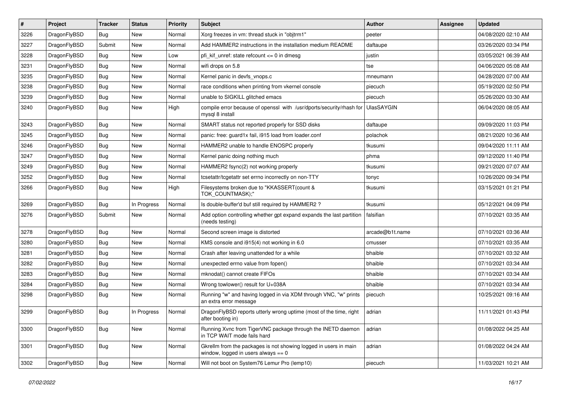| $\sharp$ | Project      | <b>Tracker</b> | <b>Status</b> | <b>Priority</b> | Subject                                                                                                   | <b>Author</b>     | Assignee | <b>Updated</b>      |
|----------|--------------|----------------|---------------|-----------------|-----------------------------------------------------------------------------------------------------------|-------------------|----------|---------------------|
| 3226     | DragonFlyBSD | Bug            | <b>New</b>    | Normal          | Xorg freezes in vm: thread stuck in "objtrm1"                                                             | peeter            |          | 04/08/2020 02:10 AM |
| 3227     | DragonFlyBSD | Submit         | New           | Normal          | Add HAMMER2 instructions in the installation medium README                                                | daftaupe          |          | 03/26/2020 03:34 PM |
| 3228     | DragonFlyBSD | Bug            | New           | Low             | pfi kif unref: state refcount $\leq$ 0 in dmesg                                                           | justin            |          | 03/05/2021 06:39 AM |
| 3231     | DragonFlyBSD | Bug            | New           | Normal          | wifi drops on 5.8                                                                                         | tse               |          | 04/06/2020 05:08 AM |
| 3235     | DragonFlyBSD | Bug            | <b>New</b>    | Normal          | Kernel panic in devfs vnops.c                                                                             | mneumann          |          | 04/28/2020 07:00 AM |
| 3238     | DragonFlyBSD | Bug            | <b>New</b>    | Normal          | race conditions when printing from vkernel console                                                        | piecuch           |          | 05/19/2020 02:50 PM |
| 3239     | DragonFlyBSD | Bug            | New           | Normal          | unable to SIGKILL glitched emacs                                                                          | piecuch           |          | 05/26/2020 03:30 AM |
| 3240     | DragonFlyBSD | Bug            | <b>New</b>    | High            | compile error because of openssl with /usr/dports/security/rhash for<br>mysql 8 install                   | <b>UlasSAYGIN</b> |          | 06/04/2020 08:05 AM |
| 3243     | DragonFlyBSD | Bug            | <b>New</b>    | Normal          | SMART status not reported properly for SSD disks                                                          | daftaupe          |          | 09/09/2020 11:03 PM |
| 3245     | DragonFlyBSD | Bug            | New           | Normal          | panic: free: guard1x fail, i915 load from loader.conf                                                     | polachok          |          | 08/21/2020 10:36 AM |
| 3246     | DragonFlyBSD | Bug            | New           | Normal          | HAMMER2 unable to handle ENOSPC properly                                                                  | tkusumi           |          | 09/04/2020 11:11 AM |
| 3247     | DragonFlyBSD | Bug            | New           | Normal          | Kernel panic doing nothing much                                                                           | phma              |          | 09/12/2020 11:40 PM |
| 3249     | DragonFlyBSD | Bug            | <b>New</b>    | Normal          | HAMMER2 fsync(2) not working properly                                                                     | tkusumi           |          | 09/21/2020 07:07 AM |
| 3252     | DragonFlyBSD | Bug            | New           | Normal          | tcsetattr/tcgetattr set errno incorrectly on non-TTY                                                      | tonyc             |          | 10/26/2020 09:34 PM |
| 3266     | DragonFlyBSD | Bug            | <b>New</b>    | High            | Filesystems broken due to "KKASSERT(count &<br>TOK_COUNTMASK);"                                           | tkusumi           |          | 03/15/2021 01:21 PM |
| 3269     | DragonFlyBSD | <b>Bug</b>     | In Progress   | Normal          | Is double-buffer'd buf still required by HAMMER2 ?                                                        | tkusumi           |          | 05/12/2021 04:09 PM |
| 3276     | DragonFlyBSD | Submit         | New           | Normal          | Add option controlling whether gpt expand expands the last partition<br>(needs testing)                   | falsifian         |          | 07/10/2021 03:35 AM |
| 3278     | DragonFlyBSD | Bug            | <b>New</b>    | Normal          | Second screen image is distorted                                                                          | arcade@b1t.name   |          | 07/10/2021 03:36 AM |
| 3280     | DragonFlyBSD | Bug            | <b>New</b>    | Normal          | KMS console and i915(4) not working in 6.0                                                                | cmusser           |          | 07/10/2021 03:35 AM |
| 3281     | DragonFlyBSD | Bug            | <b>New</b>    | Normal          | Crash after leaving unattended for a while                                                                | bhaible           |          | 07/10/2021 03:32 AM |
| 3282     | DragonFlyBSD | <b>Bug</b>     | <b>New</b>    | Normal          | unexpected errno value from fopen()                                                                       | bhaible           |          | 07/10/2021 03:34 AM |
| 3283     | DragonFlyBSD | <b>Bug</b>     | New           | Normal          | mknodat() cannot create FIFOs                                                                             | bhaible           |          | 07/10/2021 03:34 AM |
| 3284     | DragonFlyBSD | Bug            | New           | Normal          | Wrong towlower() result for U+038A                                                                        | bhaible           |          | 07/10/2021 03:34 AM |
| 3298     | DragonFlyBSD | <b>Bug</b>     | New           | Normal          | Running "w" and having logged in via XDM through VNC, "w" prints<br>an extra error message                | piecuch           |          | 10/25/2021 09:16 AM |
| 3299     | DragonFlyBSD | Bug            | In Progress   | Normal          | DragonFlyBSD reports utterly wrong uptime (most of the time, right<br>after booting in)                   | adrian            |          | 11/11/2021 01:43 PM |
| 3300     | DragonFlyBSD | <b>Bug</b>     | New           | Normal          | Running Xvnc from TigerVNC package through the INETD daemon<br>in TCP WAIT mode fails hard                | adrian            |          | 01/08/2022 04:25 AM |
| 3301     | DragonFlyBSD | <b>Bug</b>     | <b>New</b>    | Normal          | Gkrellm from the packages is not showing logged in users in main<br>window, logged in users always $== 0$ | adrian            |          | 01/08/2022 04:24 AM |
| 3302     | DragonFlyBSD | <b>Bug</b>     | New           | Normal          | Will not boot on System76 Lemur Pro (lemp10)                                                              | piecuch           |          | 11/03/2021 10:21 AM |